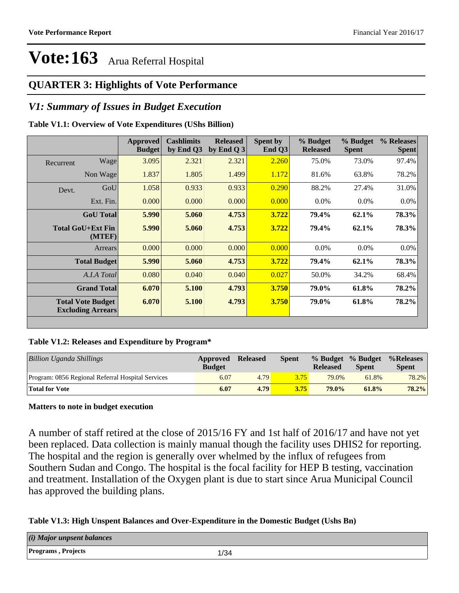### **QUARTER 3: Highlights of Vote Performance**

### *V1: Summary of Issues in Budget Execution*

### **Table V1.1: Overview of Vote Expenditures (UShs Billion)**

|           |                                                      | Approved<br><b>Budget</b> | <b>Cashlimits</b><br>by End Q3 | <b>Released</b><br>by End Q $3$ | Spent by<br>End Q3 | % Budget<br><b>Released</b> | % Budget<br><b>Spent</b> | % Releases<br><b>Spent</b> |
|-----------|------------------------------------------------------|---------------------------|--------------------------------|---------------------------------|--------------------|-----------------------------|--------------------------|----------------------------|
| Recurrent | Wage                                                 | 3.095                     | 2.321                          | 2.321                           | 2.260              | 75.0%                       | 73.0%                    | 97.4%                      |
|           | Non Wage                                             | 1.837                     | 1.805                          | 1.499                           | 1.172              | 81.6%                       | 63.8%                    | 78.2%                      |
| Devt.     | GoU                                                  | 1.058                     | 0.933                          | 0.933                           | 0.290              | 88.2%                       | 27.4%                    | 31.0%                      |
|           | Ext. Fin.                                            | 0.000                     | 0.000                          | 0.000                           | 0.000              | $0.0\%$                     | $0.0\%$                  | $0.0\%$                    |
|           | <b>GoU</b> Total                                     | 5.990                     | 5.060                          | 4.753                           | 3.722              | 79.4%                       | 62.1%                    | 78.3%                      |
|           | <b>Total GoU+Ext Fin</b><br>(MTEF)                   | 5.990                     | 5.060                          | 4.753                           | 3.722              | 79.4%                       | $62.1\%$                 | 78.3%                      |
|           | Arrears                                              | 0.000                     | 0.000                          | 0.000                           | 0.000              | $0.0\%$                     | $0.0\%$                  | $0.0\%$                    |
|           | <b>Total Budget</b>                                  | 5.990                     | 5.060                          | 4.753                           | 3.722              | 79.4%                       | 62.1%                    | 78.3%                      |
|           | A.I.A Total                                          | 0.080                     | 0.040                          | 0.040                           | 0.027              | 50.0%                       | 34.2%                    | 68.4%                      |
|           | <b>Grand Total</b>                                   | 6.070                     | 5.100                          | 4.793                           | 3.750              | 79.0%                       | 61.8%                    | 78.2%                      |
|           | <b>Total Vote Budget</b><br><b>Excluding Arrears</b> | 6.070                     | 5.100                          | 4.793                           | 3.750              | 79.0%                       | 61.8%                    | 78.2%                      |
|           |                                                      |                           |                                |                                 |                    |                             |                          |                            |

### **Table V1.2: Releases and Expenditure by Program\***

| Billion Uganda Shillings                          | Approved<br><b>Budget</b> | <b>Released</b> | <b>Spent</b> | % Budget % Budget<br><b>Released</b> | <b>Spent</b> | %Releases<br><b>Spent</b> |
|---------------------------------------------------|---------------------------|-----------------|--------------|--------------------------------------|--------------|---------------------------|
| Program: 0856 Regional Referral Hospital Services | 6.07                      | 4.79            | 3.75         | 79.0%                                | 61.8%        | 78.2%                     |
| <b>Total for Vote</b>                             | 6.07                      | 4.79            | 3.75         | $79.0\%$                             | 61.8%        | 78.2%                     |

### **Matters to note in budget execution**

A number of staff retired at the close of 2015/16 FY and 1st half of 2016/17 and have not yet been replaced. Data collection is mainly manual though the facility uses DHIS2 for reporting. The hospital and the region is generally over whelmed by the influx of refugees from Southern Sudan and Congo. The hospital is the focal facility for HEP B testing, vaccination and treatment. Installation of the Oxygen plant is due to start since Arua Municipal Council has approved the building plans.

### **Table V1.3: High Unspent Balances and Over-Expenditure in the Domestic Budget (Ushs Bn)**

| $(i)$ Major unpsent balances |      |
|------------------------------|------|
| <b>Programs, Projects</b>    | 1/34 |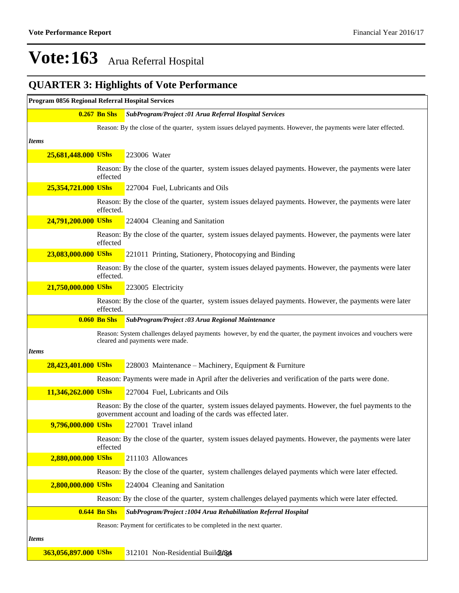## **QUARTER 3: Highlights of Vote Performance**

| Program 0856 Regional Referral Hospital Services |                     |                                                                                                                                                                           |
|--------------------------------------------------|---------------------|---------------------------------------------------------------------------------------------------------------------------------------------------------------------------|
|                                                  | $0.267$ Bn Shs      | SubProgram/Project :01 Arua Referral Hospital Services                                                                                                                    |
|                                                  |                     | Reason: By the close of the quarter, system issues delayed payments. However, the payments were later effected.                                                           |
| <b>Items</b>                                     |                     |                                                                                                                                                                           |
| 25,681,448.000 UShs                              |                     | 223006 Water                                                                                                                                                              |
|                                                  | effected            | Reason: By the close of the quarter, system issues delayed payments. However, the payments were later                                                                     |
| 25,354,721.000 UShs                              |                     | 227004 Fuel, Lubricants and Oils                                                                                                                                          |
|                                                  | effected.           | Reason: By the close of the quarter, system issues delayed payments. However, the payments were later                                                                     |
| 24,791,200.000 UShs                              |                     | 224004 Cleaning and Sanitation                                                                                                                                            |
|                                                  | effected            | Reason: By the close of the quarter, system issues delayed payments. However, the payments were later                                                                     |
| 23,083,000.000 UShs                              |                     | 221011 Printing, Stationery, Photocopying and Binding                                                                                                                     |
|                                                  | effected.           | Reason: By the close of the quarter, system issues delayed payments. However, the payments were later                                                                     |
| 21,750,000.000 UShs                              |                     | 223005 Electricity                                                                                                                                                        |
|                                                  | effected.           | Reason: By the close of the quarter, system issues delayed payments. However, the payments were later                                                                     |
|                                                  | <b>0.060 Bn Shs</b> | SubProgram/Project :03 Arua Regional Maintenance                                                                                                                          |
|                                                  |                     | Reason: System challenges delayed payments however, by end the quarter, the payment invoices and vouchers were<br>cleared and payments were made.                         |
| <b>Items</b>                                     |                     |                                                                                                                                                                           |
| 28,423,401.000 UShs                              |                     | 228003 Maintenance – Machinery, Equipment & Furniture                                                                                                                     |
|                                                  |                     | Reason: Payments were made in April after the deliveries and verification of the parts were done.                                                                         |
| 11,346,262.000 UShs                              |                     | 227004 Fuel, Lubricants and Oils                                                                                                                                          |
|                                                  |                     | Reason: By the close of the quarter, system issues delayed payments. However, the fuel payments to the<br>government account and loading of the cards was effected later. |
| 9,796,000.000 UShs                               |                     | 227001 Travel inland                                                                                                                                                      |
|                                                  | effected            | Reason: By the close of the quarter, system issues delayed payments. However, the payments were later                                                                     |
| 2,880,000.000 UShs                               |                     | 211103 Allowances                                                                                                                                                         |
|                                                  |                     | Reason: By the close of the quarter, system challenges delayed payments which were later effected.                                                                        |
| 2,800,000.000 UShs                               |                     | 224004 Cleaning and Sanitation                                                                                                                                            |
|                                                  |                     | Reason: By the close of the quarter, system challenges delayed payments which were later effected.                                                                        |
|                                                  | <b>0.644 Bn Shs</b> | SubProgram/Project : 1004 Arua Rehabilitation Referral Hospital                                                                                                           |
|                                                  |                     | Reason: Payment for certificates to be completed in the next quarter.                                                                                                     |
| <i>Items</i>                                     |                     |                                                                                                                                                                           |
| 363,056,897.000 UShs                             |                     | 312101 Non-Residential Buildi/B4                                                                                                                                          |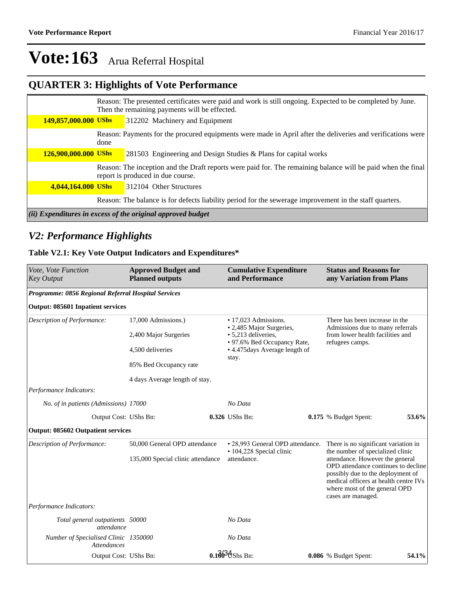### **QUARTER 3: Highlights of Vote Performance**

|                                                             |      | Reason: The presented certificates were paid and work is still ongoing. Expected to be completed by June.<br>Then the remaining payments will be effected. |  |  |  |  |
|-------------------------------------------------------------|------|------------------------------------------------------------------------------------------------------------------------------------------------------------|--|--|--|--|
| 149,857,000.000 UShs                                        |      | 312202 Machinery and Equipment                                                                                                                             |  |  |  |  |
|                                                             | done | Reason: Payments for the procured equipments were made in April after the deliveries and verifications were                                                |  |  |  |  |
| 126,900,000.000 UShs                                        |      | 281503 Engineering and Design Studies & Plans for capital works                                                                                            |  |  |  |  |
|                                                             |      | Reason: The inception and the Draft reports were paid for. The remaining balance will be paid when the final<br>report is produced in due course.          |  |  |  |  |
| 4,044,164.000 UShs                                          |      | 312104 Other Structures                                                                                                                                    |  |  |  |  |
|                                                             |      | Reason: The balance is for defects liability period for the sewerage improvement in the staff quarters.                                                    |  |  |  |  |
| (ii) Expenditures in excess of the original approved budget |      |                                                                                                                                                            |  |  |  |  |

## *V2: Performance Highlights*

### **Table V2.1: Key Vote Output Indicators and Expenditures\***

| Vote, Vote Function<br><b>Key Output</b>                   | <b>Approved Budget and</b><br><b>Planned outputs</b>               |  | <b>Cumulative Expenditure</b><br>and Performance                                                                                                  |  | <b>Status and Reasons for</b><br>any Variation from Plans                                                                                                                |       |  |
|------------------------------------------------------------|--------------------------------------------------------------------|--|---------------------------------------------------------------------------------------------------------------------------------------------------|--|--------------------------------------------------------------------------------------------------------------------------------------------------------------------------|-------|--|
| Programme: 0856 Regional Referral Hospital Services        |                                                                    |  |                                                                                                                                                   |  |                                                                                                                                                                          |       |  |
| Output: 085601 Inpatient services                          |                                                                    |  |                                                                                                                                                   |  |                                                                                                                                                                          |       |  |
| Description of Performance:                                | 17,000 Admissions.)<br>2,400 Major Surgeries<br>4,500 deliveries   |  | • 17.023 Admissions.<br>• 2,485 Major Surgeries,<br>• 5,213 deliveries,<br>• 97.6% Bed Occupancy Rate,<br>• 4.475 days Average length of<br>stay. |  | There has been increase in the<br>Admissions due to many referrals<br>from lower health facilities and<br>refugees camps.                                                |       |  |
|                                                            | 85% Bed Occupancy rate<br>4 days Average length of stay.           |  |                                                                                                                                                   |  |                                                                                                                                                                          |       |  |
| Performance Indicators:                                    |                                                                    |  |                                                                                                                                                   |  |                                                                                                                                                                          |       |  |
| No. of in patients (Admissions) 17000                      |                                                                    |  | No Data                                                                                                                                           |  |                                                                                                                                                                          |       |  |
| Output Cost: UShs Bn:                                      |                                                                    |  | 0.326 UShs Bn:                                                                                                                                    |  | 0.175 % Budget Spent:                                                                                                                                                    | 53.6% |  |
| Output: 085602 Outpatient services                         |                                                                    |  |                                                                                                                                                   |  |                                                                                                                                                                          |       |  |
| Description of Performance:                                | 50,000 General OPD attendance<br>135,000 Special clinic attendance |  | • 28,993 General OPD attendance.<br>• 104,228 Special clinic<br>attendance.                                                                       |  | There is no significant variation in<br>the number of specialized clinic<br>attendance. However the general                                                              |       |  |
|                                                            |                                                                    |  |                                                                                                                                                   |  | OPD attendance continues to decline<br>possibly due to the deployment of<br>medical officers at health centre IVs<br>where most of the general OPD<br>cases are managed. |       |  |
| Performance Indicators:                                    |                                                                    |  |                                                                                                                                                   |  |                                                                                                                                                                          |       |  |
| Total general outpatients 50000<br>attendance              |                                                                    |  | No Data                                                                                                                                           |  |                                                                                                                                                                          |       |  |
| Number of Specialised Clinic 1350000<br><i>Attendances</i> |                                                                    |  | No Data                                                                                                                                           |  |                                                                                                                                                                          |       |  |
| Output Cost: UShs Bn:                                      |                                                                    |  | $0.1\frac{2}{9}$ $\frac{4}{5}$ hs Bn:                                                                                                             |  | <b>0.086</b> % Budget Spent:                                                                                                                                             | 54.1% |  |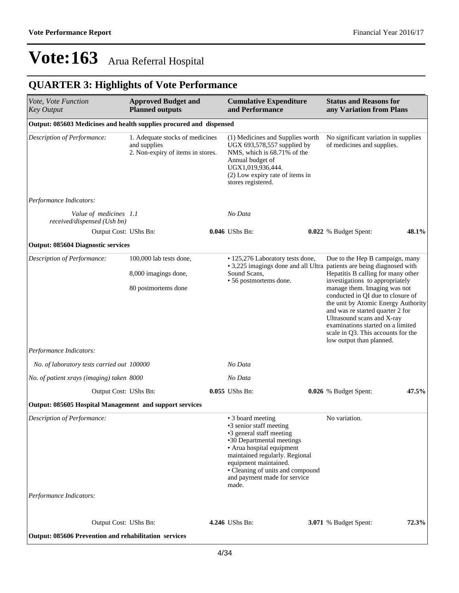## **QUARTER 3: Highlights of Vote Performance**

| Vote, Vote Function<br><b>Key Output</b>                                                                          | <b>Approved Budget and</b><br><b>Planned outputs</b>                                 | <b>Cumulative Expenditure</b><br>and Performance                                                                                                                                                                                                                           | <b>Status and Reasons for</b><br>any Variation from Plans                                                                                                                                                                                                                                                                                                                                     |       |
|-------------------------------------------------------------------------------------------------------------------|--------------------------------------------------------------------------------------|----------------------------------------------------------------------------------------------------------------------------------------------------------------------------------------------------------------------------------------------------------------------------|-----------------------------------------------------------------------------------------------------------------------------------------------------------------------------------------------------------------------------------------------------------------------------------------------------------------------------------------------------------------------------------------------|-------|
| Output: 085603 Medicines and health supplies procured and dispensed                                               |                                                                                      |                                                                                                                                                                                                                                                                            |                                                                                                                                                                                                                                                                                                                                                                                               |       |
| Description of Performance:                                                                                       | 1. Adequate stocks of medicines<br>and supplies<br>2. Non-expiry of items in stores. | (1) Medicines and Supplies worth<br>UGX 693,578,557 supplied by<br>NMS, which is 68.71% of the<br>Annual budget of<br>UGX1,019,936,444.<br>(2) Low expiry rate of items in<br>stores registered.                                                                           | No significant variation in supplies<br>of medicines and supplies.                                                                                                                                                                                                                                                                                                                            |       |
| Performance Indicators:                                                                                           |                                                                                      |                                                                                                                                                                                                                                                                            |                                                                                                                                                                                                                                                                                                                                                                                               |       |
| Value of medicines 1.1<br>received/dispensed (Ush bn)                                                             |                                                                                      | No Data                                                                                                                                                                                                                                                                    |                                                                                                                                                                                                                                                                                                                                                                                               |       |
| Output Cost: UShs Bn:                                                                                             |                                                                                      | 0.046 UShs Bn:                                                                                                                                                                                                                                                             | 0.022 % Budget Spent:                                                                                                                                                                                                                                                                                                                                                                         | 48.1% |
| <b>Output: 085604 Diagnostic services</b>                                                                         |                                                                                      |                                                                                                                                                                                                                                                                            |                                                                                                                                                                                                                                                                                                                                                                                               |       |
| Description of Performance:                                                                                       | 100,000 lab tests done,<br>8,000 imagings done,<br>80 postmortems done               | • 125,276 Laboratory tests done,<br>• 3,225 imagings done and all Ultra patients are being diagnosed with<br>Sound Scans.<br>• 56 postmortems done.                                                                                                                        | Due to the Hep B campaign, many<br>Hepatitis B calling for many other<br>investigations to appropriately<br>manage them. Imaging was not<br>conducted in QI due to closure of<br>the unit by Atomic Energy Authority<br>and was re started quarter 2 for<br>Ultrasound scans and X-ray<br>examinations started on a limited<br>scale in Q3. This accounts for the<br>low output than planned. |       |
| Performance Indicators:                                                                                           |                                                                                      |                                                                                                                                                                                                                                                                            |                                                                                                                                                                                                                                                                                                                                                                                               |       |
| No. of laboratory tests carried out 100000                                                                        |                                                                                      | No Data                                                                                                                                                                                                                                                                    |                                                                                                                                                                                                                                                                                                                                                                                               |       |
| No. of patient xrays (imaging) taken 8000                                                                         |                                                                                      | No Data                                                                                                                                                                                                                                                                    |                                                                                                                                                                                                                                                                                                                                                                                               |       |
| Output Cost: UShs Bn:                                                                                             |                                                                                      | 0.055 UShs Bn:                                                                                                                                                                                                                                                             | 0.026 % Budget Spent:                                                                                                                                                                                                                                                                                                                                                                         | 47.5% |
| Output: 085605 Hospital Management and support services<br>Description of Performance:<br>Performance Indicators: |                                                                                      | • 3 board meeting<br>•3 senior staff meeting<br>•3 general staff meeting<br>•30 Departmental meetings<br>• Arua hospital equipment<br>maintained regularly. Regional<br>equipment maintained.<br>• Cleaning of units and compound<br>and payment made for service<br>made. | No variation.                                                                                                                                                                                                                                                                                                                                                                                 |       |
| Output Cost: UShs Bn:                                                                                             |                                                                                      | 4.246 UShs Bn:                                                                                                                                                                                                                                                             | <b>3.071</b> % Budget Spent:                                                                                                                                                                                                                                                                                                                                                                  | 72.3% |
| Output: 085606 Prevention and rehabilitation services                                                             |                                                                                      |                                                                                                                                                                                                                                                                            |                                                                                                                                                                                                                                                                                                                                                                                               |       |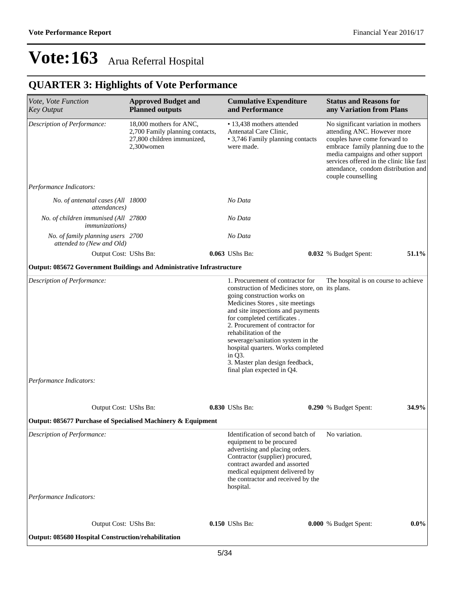## **QUARTER 3: Highlights of Vote Performance**

| Vote, Vote Function<br><b>Key Output</b>                              | <b>Approved Budget and</b><br><b>Planned outputs</b>                                                   | <b>Cumulative Expenditure</b><br>and Performance                                                                                                                                                                                                                                                                                                                                                                                            | <b>Status and Reasons for</b><br>any Variation from Plans                                                                                                                                                                                                                              |         |
|-----------------------------------------------------------------------|--------------------------------------------------------------------------------------------------------|---------------------------------------------------------------------------------------------------------------------------------------------------------------------------------------------------------------------------------------------------------------------------------------------------------------------------------------------------------------------------------------------------------------------------------------------|----------------------------------------------------------------------------------------------------------------------------------------------------------------------------------------------------------------------------------------------------------------------------------------|---------|
| Description of Performance:                                           | 18,000 mothers for ANC,<br>2,700 Family planning contacts,<br>27,800 children immunized,<br>2,300women | • 13,438 mothers attended<br>Antenatal Care Clinic,<br>• 3,746 Family planning contacts<br>were made.                                                                                                                                                                                                                                                                                                                                       | No significant variation in mothers<br>attending ANC. However more<br>couples have come forward to<br>embrace family planning due to the<br>media campaigns and other support<br>services offered in the clinic like fast<br>attendance, condom distribution and<br>couple counselling |         |
| Performance Indicators:                                               |                                                                                                        |                                                                                                                                                                                                                                                                                                                                                                                                                                             |                                                                                                                                                                                                                                                                                        |         |
| No. of antenatal cases (All 18000<br><i>attendances</i> )             |                                                                                                        | No Data                                                                                                                                                                                                                                                                                                                                                                                                                                     |                                                                                                                                                                                                                                                                                        |         |
| No. of children immunised (All 27800<br><i>immunizations</i> )        |                                                                                                        | No Data                                                                                                                                                                                                                                                                                                                                                                                                                                     |                                                                                                                                                                                                                                                                                        |         |
| No. of family planning users 2700<br>attended to (New and Old)        |                                                                                                        | No Data                                                                                                                                                                                                                                                                                                                                                                                                                                     |                                                                                                                                                                                                                                                                                        |         |
| Output Cost: UShs Bn:                                                 |                                                                                                        | 0.063 UShs Bn:                                                                                                                                                                                                                                                                                                                                                                                                                              | 0.032 % Budget Spent:                                                                                                                                                                                                                                                                  | 51.1%   |
| Output: 085672 Government Buildings and Administrative Infrastructure |                                                                                                        |                                                                                                                                                                                                                                                                                                                                                                                                                                             |                                                                                                                                                                                                                                                                                        |         |
| Description of Performance:<br>Performance Indicators:                |                                                                                                        | 1. Procurement of contractor for<br>construction of Medicines store, on its plans.<br>going construction works on<br>Medicines Stores, site meetings<br>and site inspections and payments<br>for completed certificates.<br>2. Procurement of contractor for<br>rehabilitation of the<br>sewerage/sanitation system in the<br>hospital quarters. Works completed<br>in Q3.<br>3. Master plan design feedback,<br>final plan expected in Q4. | The hospital is on course to achieve                                                                                                                                                                                                                                                   |         |
| Output Cost: UShs Bn:                                                 |                                                                                                        | 0.830 UShs Bn:                                                                                                                                                                                                                                                                                                                                                                                                                              | 0.290 % Budget Spent:                                                                                                                                                                                                                                                                  | 34.9%   |
| Output: 085677 Purchase of Specialised Machinery & Equipment          |                                                                                                        |                                                                                                                                                                                                                                                                                                                                                                                                                                             |                                                                                                                                                                                                                                                                                        |         |
| Description of Performance:                                           |                                                                                                        | Identification of second batch of<br>equipment to be procured<br>advertising and placing orders.<br>Contractor (supplier) procured,<br>contract awarded and assorted<br>medical equipment delivered by<br>the contractor and received by the<br>hospital.                                                                                                                                                                                   | No variation.                                                                                                                                                                                                                                                                          |         |
| Performance Indicators:                                               |                                                                                                        |                                                                                                                                                                                                                                                                                                                                                                                                                                             |                                                                                                                                                                                                                                                                                        |         |
| Output Cost: UShs Bn:                                                 |                                                                                                        | 0.150 UShs Bn:                                                                                                                                                                                                                                                                                                                                                                                                                              | 0.000 % Budget Spent:                                                                                                                                                                                                                                                                  | $0.0\%$ |
| Output: 085680 Hospital Construction/rehabilitation                   |                                                                                                        |                                                                                                                                                                                                                                                                                                                                                                                                                                             |                                                                                                                                                                                                                                                                                        |         |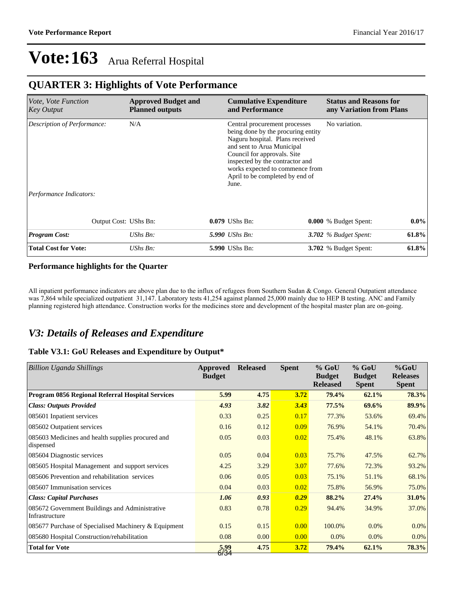### **QUARTER 3: Highlights of Vote Performance**

| <i>Vote, Vote Function</i><br>Key Output | <b>Approved Budget and</b><br><b>Planned outputs</b> | <b>Cumulative Expenditure</b><br>and Performance                                                                                                                                                                                                   |                                 | <b>Status and Reasons for</b><br>any Variation from Plans |         |  |
|------------------------------------------|------------------------------------------------------|----------------------------------------------------------------------------------------------------------------------------------------------------------------------------------------------------------------------------------------------------|---------------------------------|-----------------------------------------------------------|---------|--|
| Description of Performance:              | N/A                                                  | Central procurement processes<br>being done by the procuring entity<br>Naguru hospital. Plans received<br>and sent to Arua Municipal<br>Council for approvals. Site<br>inspected by the contractor and<br>April to be completed by end of<br>June. | works expected to commence from | No variation.                                             |         |  |
| Performance Indicators:                  |                                                      |                                                                                                                                                                                                                                                    |                                 |                                                           |         |  |
| Output Cost: UShs Bn:                    |                                                      | 0.079 UShs Bn:                                                                                                                                                                                                                                     |                                 | 0.000 % Budget Spent:                                     | $0.0\%$ |  |
| <b>Program Cost:</b>                     | UShs Bn:                                             | <b>5.990</b> UShs Bn:                                                                                                                                                                                                                              |                                 | 3.702 $%$ Budget Spent:                                   | 61.8%   |  |
| <b>Total Cost for Vote:</b>              | UShs Bn:                                             | <b>5.990 UShs Bn:</b>                                                                                                                                                                                                                              |                                 | <b>3.702</b> % Budget Spent:                              | 61.8%   |  |

### **Performance highlights for the Quarter**

All inpatient performance indicators are above plan due to the influx of refugees from Southern Sudan & Congo. General Outpatient attendance was 7,864 while specialized outpatient 31,147. Laboratory tests 41,254 against planned 25,000 mainly due to HEP B testing. ANC and Family planning registered high attendance. Construction works for the medicines store and development of the hospital master plan are on-going.

### *V3: Details of Releases and Expenditure*

### **Table V3.1: GoU Releases and Expenditure by Output\***

| Billion Uganda Shillings                                         | Approved<br><b>Budget</b> | <b>Released</b> | <b>Spent</b> | $%$ GoU<br><b>Budget</b><br><b>Released</b> | $%$ GoU<br><b>Budget</b><br><b>Spent</b> | $%$ GoU<br><b>Releases</b><br><b>Spent</b> |
|------------------------------------------------------------------|---------------------------|-----------------|--------------|---------------------------------------------|------------------------------------------|--------------------------------------------|
| Program 0856 Regional Referral Hospital Services                 | 5.99                      | 4.75            | 3.72         | 79.4%                                       | 62.1%                                    | 78.3%                                      |
| <b>Class: Outputs Provided</b>                                   | 4.93                      | 3.82            | 3.43         | 77.5%                                       | 69.6%                                    | 89.9%                                      |
| 085601 Inpatient services                                        | 0.33                      | 0.25            | 0.17         | 77.3%                                       | 53.6%                                    | 69.4%                                      |
| 085602 Outpatient services                                       | 0.16                      | 0.12            | 0.09         | 76.9%                                       | 54.1%                                    | 70.4%                                      |
| 085603 Medicines and health supplies procured and<br>dispensed   | 0.05                      | 0.03            | 0.02         | 75.4%                                       | 48.1%                                    | 63.8%                                      |
| 085604 Diagnostic services                                       | 0.05                      | 0.04            | 0.03         | 75.7%                                       | 47.5%                                    | 62.7%                                      |
| 085605 Hospital Management and support services                  | 4.25                      | 3.29            | 3.07         | 77.6%                                       | 72.3%                                    | 93.2%                                      |
| 085606 Prevention and rehabilitation services                    | 0.06                      | 0.05            | 0.03         | 75.1%                                       | 51.1%                                    | 68.1%                                      |
| 085607 Immunisation services                                     | 0.04                      | 0.03            | 0.02         | 75.8%                                       | 56.9%                                    | 75.0%                                      |
| <b>Class: Capital Purchases</b>                                  | 1.06                      | 0.93            | 0.29         | 88.2%                                       | 27.4%                                    | 31.0%                                      |
| 085672 Government Buildings and Administrative<br>Infrastructure | 0.83                      | 0.78            | 0.29         | 94.4%                                       | 34.9%                                    | 37.0%                                      |
| 085677 Purchase of Specialised Machinery & Equipment             | 0.15                      | 0.15            | 0.00         | 100.0%                                      | 0.0%                                     | $0.0\%$                                    |
| 085680 Hospital Construction/rehabilitation                      | 0.08                      | 0.00            | 0.00         | $0.0\%$                                     | 0.0%                                     | $0.0\%$                                    |
| <b>Total for Vote</b>                                            | 5,99<br>6/34              | 4.75            | 3.72         | 79.4%                                       | 62.1%                                    | 78.3%                                      |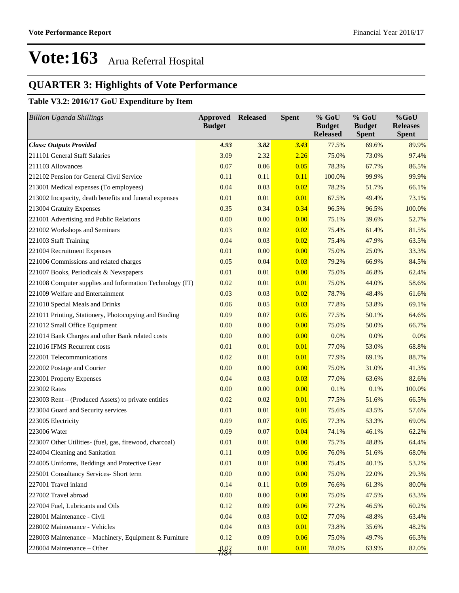## **QUARTER 3: Highlights of Vote Performance**

### **Table V3.2: 2016/17 GoU Expenditure by Item**

| <b>Billion Uganda Shillings</b>                          | <b>Approved Released</b><br><b>Budget</b> |      | <b>Spent</b> | % GoU<br><b>Budget</b><br><b>Released</b> | % GoU<br><b>Budget</b><br><b>Spent</b> | %GoU<br><b>Releases</b><br><b>Spent</b> |
|----------------------------------------------------------|-------------------------------------------|------|--------------|-------------------------------------------|----------------------------------------|-----------------------------------------|
| <b>Class: Outputs Provided</b>                           | 4.93                                      | 3.82 | 3.43         | 77.5%                                     | 69.6%                                  | 89.9%                                   |
| 211101 General Staff Salaries                            | 3.09                                      | 2.32 | 2.26         | 75.0%                                     | 73.0%                                  | 97.4%                                   |
| 211103 Allowances                                        | 0.07                                      | 0.06 | 0.05         | 78.3%                                     | 67.7%                                  | 86.5%                                   |
| 212102 Pension for General Civil Service                 | 0.11                                      | 0.11 | 0.11         | 100.0%                                    | 99.9%                                  | 99.9%                                   |
| 213001 Medical expenses (To employees)                   | 0.04                                      | 0.03 | 0.02         | 78.2%                                     | 51.7%                                  | 66.1%                                   |
| 213002 Incapacity, death benefits and funeral expenses   | 0.01                                      | 0.01 | 0.01         | 67.5%                                     | 49.4%                                  | 73.1%                                   |
| 213004 Gratuity Expenses                                 | 0.35                                      | 0.34 | 0.34         | 96.5%                                     | 96.5%                                  | 100.0%                                  |
| 221001 Advertising and Public Relations                  | 0.00                                      | 0.00 | 0.00         | 75.1%                                     | 39.6%                                  | 52.7%                                   |
| 221002 Workshops and Seminars                            | 0.03                                      | 0.02 | 0.02         | 75.4%                                     | 61.4%                                  | 81.5%                                   |
| 221003 Staff Training                                    | 0.04                                      | 0.03 | 0.02         | 75.4%                                     | 47.9%                                  | 63.5%                                   |
| 221004 Recruitment Expenses                              | 0.01                                      | 0.00 | 0.00         | 75.0%                                     | 25.0%                                  | 33.3%                                   |
| 221006 Commissions and related charges                   | 0.05                                      | 0.04 | 0.03         | 79.2%                                     | 66.9%                                  | 84.5%                                   |
| 221007 Books, Periodicals & Newspapers                   | 0.01                                      | 0.01 | 0.00         | 75.0%                                     | 46.8%                                  | 62.4%                                   |
| 221008 Computer supplies and Information Technology (IT) | 0.02                                      | 0.01 | 0.01         | 75.0%                                     | 44.0%                                  | 58.6%                                   |
| 221009 Welfare and Entertainment                         | 0.03                                      | 0.03 | 0.02         | 78.7%                                     | 48.4%                                  | 61.6%                                   |
| 221010 Special Meals and Drinks                          | 0.06                                      | 0.05 | 0.03         | 77.8%                                     | 53.8%                                  | 69.1%                                   |
| 221011 Printing, Stationery, Photocopying and Binding    | 0.09                                      | 0.07 | 0.05         | 77.5%                                     | 50.1%                                  | 64.6%                                   |
| 221012 Small Office Equipment                            | 0.00                                      | 0.00 | 0.00         | 75.0%                                     | 50.0%                                  | 66.7%                                   |
| 221014 Bank Charges and other Bank related costs         | 0.00                                      | 0.00 | 0.00         | 0.0%                                      | 0.0%                                   | $0.0\%$                                 |
| 221016 IFMS Recurrent costs                              | 0.01                                      | 0.01 | 0.01         | 77.0%                                     | 53.0%                                  | 68.8%                                   |
| 222001 Telecommunications                                | 0.02                                      | 0.01 | 0.01         | 77.9%                                     | 69.1%                                  | 88.7%                                   |
| 222002 Postage and Courier                               | 0.00                                      | 0.00 | 0.00         | 75.0%                                     | 31.0%                                  | 41.3%                                   |
| 223001 Property Expenses                                 | 0.04                                      | 0.03 | 0.03         | 77.0%                                     | 63.6%                                  | 82.6%                                   |
| 223002 Rates                                             | 0.00                                      | 0.00 | 0.00         | 0.1%                                      | 0.1%                                   | 100.0%                                  |
| 223003 Rent – (Produced Assets) to private entities      | 0.02                                      | 0.02 | 0.01         | 77.5%                                     | 51.6%                                  | 66.5%                                   |
| 223004 Guard and Security services                       | 0.01                                      | 0.01 | 0.01         | 75.6%                                     | 43.5%                                  | 57.6%                                   |
| 223005 Electricity                                       | 0.09                                      | 0.07 | 0.05         | 77.3%                                     | 53.3%                                  | 69.0%                                   |
| 223006 Water                                             | 0.09                                      | 0.07 | 0.04         | 74.1%                                     | 46.1%                                  | 62.2%                                   |
| 223007 Other Utilities- (fuel, gas, firewood, charcoal)  | 0.01                                      | 0.01 | 0.00         | 75.7%                                     | 48.8%                                  | 64.4%                                   |
| 224004 Cleaning and Sanitation                           | 0.11                                      | 0.09 | 0.06         | 76.0%                                     | 51.6%                                  | 68.0%                                   |
| 224005 Uniforms, Beddings and Protective Gear            | 0.01                                      | 0.01 | 0.00         | 75.4%                                     | 40.1%                                  | 53.2%                                   |
| 225001 Consultancy Services- Short term                  | 0.00                                      | 0.00 | 0.00         | 75.0%                                     | 22.0%                                  | 29.3%                                   |
| 227001 Travel inland                                     | 0.14                                      | 0.11 | 0.09         | 76.6%                                     | 61.3%                                  | 80.0%                                   |
| 227002 Travel abroad                                     | 0.00                                      | 0.00 | 0.00         | 75.0%                                     | 47.5%                                  | 63.3%                                   |
| 227004 Fuel, Lubricants and Oils                         | 0.12                                      | 0.09 | 0.06         | 77.2%                                     | 46.5%                                  | 60.2%                                   |
| 228001 Maintenance - Civil                               | 0.04                                      | 0.03 | 0.02         | 77.0%                                     | 48.8%                                  | 63.4%                                   |
| 228002 Maintenance - Vehicles                            | 0.04                                      | 0.03 | 0.01         | 73.8%                                     | 35.6%                                  | 48.2%                                   |
| 228003 Maintenance - Machinery, Equipment & Furniture    | 0.12                                      | 0.09 | 0.06         | 75.0%                                     | 49.7%                                  | 66.3%                                   |
| 228004 Maintenance - Other                               | 2/34                                      | 0.01 | 0.01         | 78.0%                                     | 63.9%                                  | 82.0%                                   |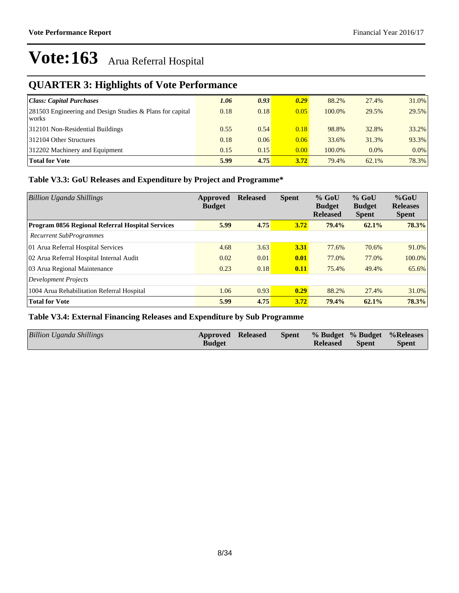## **QUARTER 3: Highlights of Vote Performance**

| Class: Capital Purchases                                              | 1.06 | 0.93 | 0.29 | 88.2%  | 27.4%   | 31.0%   |
|-----------------------------------------------------------------------|------|------|------|--------|---------|---------|
| $ 281503$ Engineering and Design Studies & Plans for capital<br>works | 0.18 | 0.18 | 0.05 | 100.0% | 29.5%   | 29.5%   |
| 312101 Non-Residential Buildings                                      | 0.55 | 0.54 | 0.18 | 98.8%  | 32.8%   | 33.2%   |
| 312104 Other Structures                                               | 0.18 | 0.06 | 0.06 | 33.6%  | 31.3%   | 93.3%   |
| 312202 Machinery and Equipment                                        | 0.15 | 0.15 | 0.00 | 100.0% | $0.0\%$ | $0.0\%$ |
| <b>Total for Vote</b>                                                 | 5.99 | 4.75 | 3.72 | 79.4%  | 62.1%   | 78.3%   |

### **Table V3.3: GoU Releases and Expenditure by Project and Programme\***

| <b>Billion Uganda Shillings</b>                  | Approved<br><b>Budget</b> | <b>Released</b> | <b>Spent</b> | $%$ GoU<br><b>Budget</b><br><b>Released</b> | $%$ GoU<br><b>Budget</b><br><b>Spent</b> | $%$ GoU<br><b>Releases</b><br><b>Spent</b> |
|--------------------------------------------------|---------------------------|-----------------|--------------|---------------------------------------------|------------------------------------------|--------------------------------------------|
| Program 0856 Regional Referral Hospital Services | 5.99                      | 4.75            | 3.72         | 79.4%                                       | 62.1%                                    | 78.3%                                      |
| Recurrent SubProgrammes                          |                           |                 |              |                                             |                                          |                                            |
| 01 Arua Referral Hospital Services               | 4.68                      | 3.63            | 3.31         | 77.6%                                       | 70.6%                                    | 91.0%                                      |
| 02 Arua Referral Hospital Internal Audit         | 0.02                      | 0.01            | 0.01         | 77.0%                                       | 77.0%                                    | 100.0%                                     |
| 03 Arua Regional Maintenance                     | 0.23                      | 0.18            | 0.11         | 75.4%                                       | 49.4%                                    | 65.6%                                      |
| <b>Development Projects</b>                      |                           |                 |              |                                             |                                          |                                            |
| 1004 Arua Rehabilitation Referral Hospital       | 1.06                      | 0.93            | 0.29         | 88.2%                                       | 27.4%                                    | 31.0%                                      |
| <b>Total for Vote</b>                            | 5.99                      | 4.75            | 3.72         | 79.4%                                       | 62.1%                                    | 78.3%                                      |

### **Table V3.4: External Financing Releases and Expenditure by Sub Programme**

| <b>Billion Uganda Shillings</b> | <b>Approved Released</b> | <b>Spent</b> |                 |              | % Budget % Budget % Releases |
|---------------------------------|--------------------------|--------------|-----------------|--------------|------------------------------|
|                                 | <b>Budget</b>            |              | <b>Released</b> | <b>Spent</b> | <b>Spent</b>                 |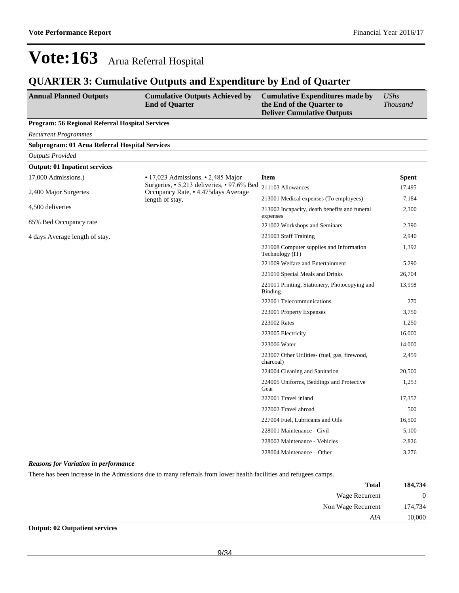### **QUARTER 3: Cumulative Outputs and Expenditure by End of Quarter**

| <b>Annual Planned Outputs</b>                   | <b>Cumulative Outputs Achieved by</b><br><b>End of Quarter</b>                    | <b>Cumulative Expenditures made by</b><br>the End of the Quarter to<br><b>Deliver Cumulative Outputs</b> | <b>UShs</b><br><b>Thousand</b> |
|-------------------------------------------------|-----------------------------------------------------------------------------------|----------------------------------------------------------------------------------------------------------|--------------------------------|
| Program: 56 Regional Referral Hospital Services |                                                                                   |                                                                                                          |                                |
| <b>Recurrent Programmes</b>                     |                                                                                   |                                                                                                          |                                |
| Subprogram: 01 Arua Referral Hospital Services  |                                                                                   |                                                                                                          |                                |
| <b>Outputs Provided</b>                         |                                                                                   |                                                                                                          |                                |
| <b>Output: 01 Inpatient services</b>            |                                                                                   |                                                                                                          |                                |
| 17,000 Admissions.)                             | $\cdot$ 17,023 Admissions. $\cdot$ 2,485 Major                                    | <b>Item</b>                                                                                              | <b>Spent</b>                   |
| 2,400 Major Surgeries                           |                                                                                   | 211103 Allowances                                                                                        | 17,495                         |
|                                                 | length of stay.                                                                   | 213001 Medical expenses (To employees)                                                                   | 7,184                          |
| 4,500 deliveries                                | Surgeries, • 5,213 deliveries, • 97.6% Bed<br>Occupancy Rate, • 4.475days Average | 213002 Incapacity, death benefits and funeral<br>expenses                                                | 2,300                          |
| 85% Bed Occupancy rate                          |                                                                                   | 221002 Workshops and Seminars                                                                            | 2,390                          |
| 4 days Average length of stay.                  |                                                                                   | 221003 Staff Training                                                                                    | 2,940                          |
|                                                 |                                                                                   | 221008 Computer supplies and Information<br>Technology (IT)                                              | 1,392                          |
|                                                 |                                                                                   | 221009 Welfare and Entertainment                                                                         | 5,290                          |
|                                                 |                                                                                   | 221010 Special Meals and Drinks                                                                          | 26,704                         |
|                                                 |                                                                                   | 221011 Printing, Stationery, Photocopying and<br>Binding                                                 | 13,998                         |
|                                                 |                                                                                   | 222001 Telecommunications                                                                                | 270                            |
|                                                 |                                                                                   | 223001 Property Expenses                                                                                 | 3,750                          |
|                                                 |                                                                                   | 223002 Rates                                                                                             | 1,250                          |
|                                                 |                                                                                   | 223005 Electricity                                                                                       | 16,000                         |
|                                                 |                                                                                   | 223006 Water                                                                                             | 14,000                         |
|                                                 |                                                                                   | 223007 Other Utilities- (fuel, gas, firewood,<br>charcoal)                                               | 2,459                          |
|                                                 |                                                                                   | 224004 Cleaning and Sanitation                                                                           | 20,500                         |
|                                                 |                                                                                   | 224005 Uniforms, Beddings and Protective<br>Gear                                                         | 1,253                          |
|                                                 |                                                                                   | 227001 Travel inland                                                                                     | 17,357                         |
|                                                 |                                                                                   | 227002 Travel abroad                                                                                     | 500                            |
|                                                 |                                                                                   | 227004 Fuel, Lubricants and Oils                                                                         | 16,500                         |
|                                                 |                                                                                   | 228001 Maintenance - Civil                                                                               | 5,100                          |
|                                                 |                                                                                   | 228002 Maintenance - Vehicles                                                                            | 2,826                          |
|                                                 |                                                                                   | 228004 Maintenance – Other                                                                               | 3,276                          |

### *Reasons for Variation in performance*

There has been increase in the Admissions due to many referrals from lower health facilities and refugees camps.

| 184,734          | <b>Total</b>       |
|------------------|--------------------|
| $\boldsymbol{0}$ | Wage Recurrent     |
| 174,734          | Non Wage Recurrent |
| 10,000           | AIA                |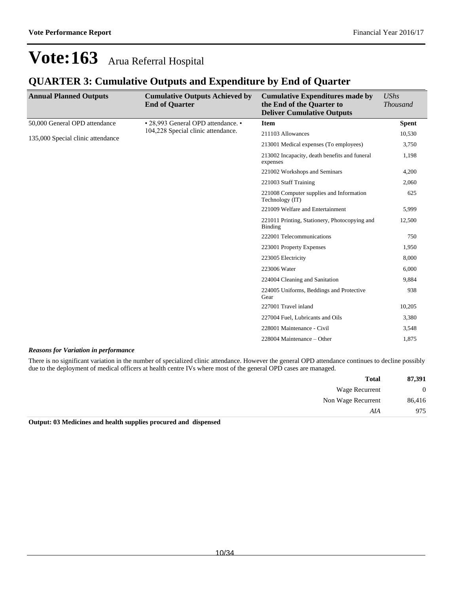### **QUARTER 3: Cumulative Outputs and Expenditure by End of Quarter**

| <b>Annual Planned Outputs</b>     | <b>Cumulative Outputs Achieved by</b><br><b>End of Quarter</b> | <b>Cumulative Expenditures made by</b><br>the End of the Quarter to<br><b>Deliver Cumulative Outputs</b>                                                      | <b>UShs</b><br><b>Thousand</b> |
|-----------------------------------|----------------------------------------------------------------|---------------------------------------------------------------------------------------------------------------------------------------------------------------|--------------------------------|
| 50,000 General OPD attendance     | • 28,993 General OPD attendance. •                             | <b>Item</b>                                                                                                                                                   | <b>Spent</b>                   |
| 135,000 Special clinic attendance | 104,228 Special clinic attendance.                             | 211103 Allowances                                                                                                                                             | 10,530                         |
|                                   |                                                                | 213001 Medical expenses (To employees)<br>213002 Incapacity, death benefits and funeral<br>expenses<br>221002 Workshops and Seminars<br>221003 Staff Training | 3,750                          |
|                                   |                                                                |                                                                                                                                                               | 1,198                          |
|                                   |                                                                |                                                                                                                                                               | 4,200                          |
|                                   |                                                                |                                                                                                                                                               | 2,060                          |
|                                   |                                                                | 221008 Computer supplies and Information<br>Technology (IT)                                                                                                   | 625                            |
|                                   |                                                                | 221009 Welfare and Entertainment                                                                                                                              | 5,999                          |
|                                   |                                                                | 221011 Printing, Stationery, Photocopying and<br>Binding                                                                                                      | 12,500                         |
|                                   |                                                                | 222001 Telecommunications                                                                                                                                     | 750                            |
|                                   |                                                                | 223001 Property Expenses                                                                                                                                      | 1,950                          |
|                                   |                                                                | 223005 Electricity                                                                                                                                            | 8,000                          |
|                                   |                                                                | 223006 Water                                                                                                                                                  | 6,000                          |
|                                   |                                                                | 224004 Cleaning and Sanitation                                                                                                                                | 9,884                          |
|                                   |                                                                | 224005 Uniforms, Beddings and Protective<br>Gear                                                                                                              | 938                            |
|                                   |                                                                | 227001 Travel inland                                                                                                                                          | 10,205                         |
|                                   |                                                                | 227004 Fuel, Lubricants and Oils                                                                                                                              | 3,380                          |
|                                   |                                                                | 228001 Maintenance - Civil                                                                                                                                    | 3,548                          |
|                                   |                                                                | 228004 Maintenance – Other                                                                                                                                    | 1,875                          |

### *Reasons for Variation in performance*

There is no significant variation in the number of specialized clinic attendance. However the general OPD attendance continues to decline possibly due to the deployment of medical officers at health centre IVs where most of the general OPD cases are managed.

| 87,391       | <b>Total</b>       |
|--------------|--------------------|
| $\mathbf{0}$ | Wage Recurrent     |
| 86,416       | Non Wage Recurrent |
| 975          | AIA                |

**Output: 03 Medicines and health supplies procured and dispensed**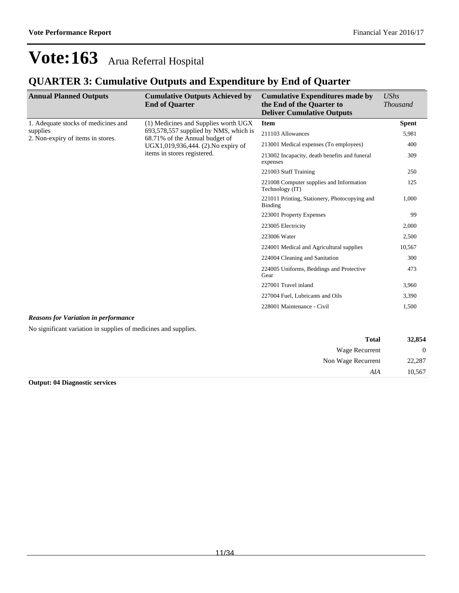### **QUARTER 3: Cumulative Outputs and Expenditure by End of Quarter**

| <b>Annual Planned Outputs</b>                 | <b>Cumulative Outputs Achieved by</b><br><b>End of Quarter</b>          | <b>Cumulative Expenditures made by</b><br>the End of the Quarter to<br><b>Deliver Cumulative Outputs</b> | <b>UShs</b><br><b>Thousand</b> |
|-----------------------------------------------|-------------------------------------------------------------------------|----------------------------------------------------------------------------------------------------------|--------------------------------|
| 1. Adequate stocks of medicines and           | (1) Medicines and Supplies worth UGX                                    | <b>Item</b>                                                                                              | <b>Spent</b>                   |
| supplies<br>2. Non-expiry of items in stores. | 693,578,557 supplied by NMS, which is<br>68.71% of the Annual budget of | 211103 Allowances                                                                                        | 5,981                          |
|                                               | UGX1,019,936,444. (2). No expiry of                                     | 213001 Medical expenses (To employees)                                                                   | 400                            |
|                                               | items in stores registered.                                             | 213002 Incapacity, death benefits and funeral<br>expenses                                                | 309                            |
|                                               |                                                                         | 221003 Staff Training                                                                                    | 250                            |
|                                               |                                                                         | 221008 Computer supplies and Information<br>Technology (IT)                                              | 125                            |
|                                               |                                                                         | 221011 Printing, Stationery, Photocopying and<br>Binding                                                 | 1.000                          |
|                                               |                                                                         | 223001 Property Expenses                                                                                 | 99                             |
|                                               |                                                                         | 223005 Electricity                                                                                       | 2,000                          |
|                                               |                                                                         | 223006 Water                                                                                             | 2,500                          |
|                                               |                                                                         | 224001 Medical and Agricultural supplies                                                                 | 10,567                         |
|                                               |                                                                         | 224004 Cleaning and Sanitation                                                                           | 300                            |
|                                               |                                                                         | 224005 Uniforms, Beddings and Protective<br>Gear                                                         | 473                            |
|                                               |                                                                         | 227001 Travel inland                                                                                     | 3,960                          |
|                                               |                                                                         | 227004 Fuel, Lubricants and Oils                                                                         | 3,390                          |
|                                               |                                                                         | 228001 Maintenance - Civil                                                                               | 1,500                          |
|                                               |                                                                         |                                                                                                          |                                |

### *Reasons for Variation in performance*

No significant variation in supplies of medicines and supplies.

| 32,854         | <b>Total</b>       |
|----------------|--------------------|
| $\overline{0}$ | Wage Recurrent     |
| 22,287         | Non Wage Recurrent |
| 10,567         | AIA                |

**Output: 04 Diagnostic services**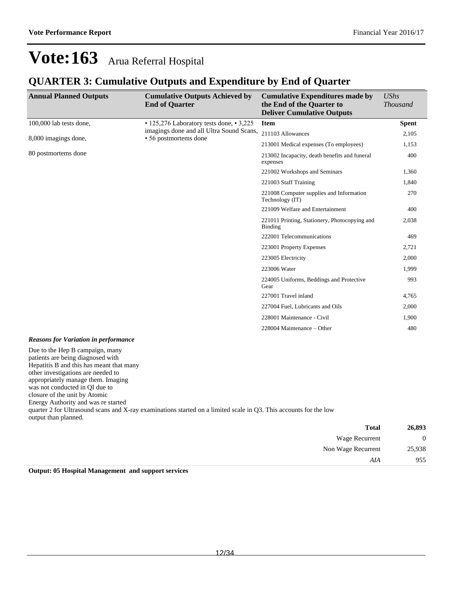Non Wage Recurrent 25,938

*AIA* 955

# **Vote:163** Arua Referral Hospital

### **QUARTER 3: Cumulative Outputs and Expenditure by End of Quarter**

| <b>Annual Planned Outputs</b>                                                                                                                                                                                                                                                                                                  | <b>Cumulative Outputs Achieved by</b><br><b>End of Quarter</b>                                                    | <b>Cumulative Expenditures made by</b><br>the End of the Quarter to<br><b>Deliver Cumulative Outputs</b> | <b>UShs</b><br><b>Thousand</b> |
|--------------------------------------------------------------------------------------------------------------------------------------------------------------------------------------------------------------------------------------------------------------------------------------------------------------------------------|-------------------------------------------------------------------------------------------------------------------|----------------------------------------------------------------------------------------------------------|--------------------------------|
| 100,000 lab tests done,                                                                                                                                                                                                                                                                                                        | • 125,276 Laboratory tests done, • 3,225                                                                          | <b>Item</b>                                                                                              | <b>Spent</b>                   |
| 8,000 imagings done,                                                                                                                                                                                                                                                                                                           | imagings done and all Ultra Sound Scans,<br>• 56 postmortems done                                                 | 211103 Allowances                                                                                        | 2,105                          |
|                                                                                                                                                                                                                                                                                                                                |                                                                                                                   | 213001 Medical expenses (To employees)                                                                   | 1,153                          |
| 80 postmortems done                                                                                                                                                                                                                                                                                                            |                                                                                                                   | 213002 Incapacity, death benefits and funeral<br>expenses                                                | 400                            |
|                                                                                                                                                                                                                                                                                                                                |                                                                                                                   | 221002 Workshops and Seminars                                                                            | 1,360                          |
|                                                                                                                                                                                                                                                                                                                                |                                                                                                                   | 221003 Staff Training                                                                                    | 1,840                          |
|                                                                                                                                                                                                                                                                                                                                |                                                                                                                   | 221008 Computer supplies and Information<br>Technology (IT)                                              | 270                            |
|                                                                                                                                                                                                                                                                                                                                |                                                                                                                   | 221009 Welfare and Entertainment                                                                         | 400                            |
|                                                                                                                                                                                                                                                                                                                                |                                                                                                                   | 221011 Printing, Stationery, Photocopying and<br>Binding                                                 | 2,038                          |
|                                                                                                                                                                                                                                                                                                                                |                                                                                                                   | 222001 Telecommunications                                                                                | 469                            |
|                                                                                                                                                                                                                                                                                                                                |                                                                                                                   | 223001 Property Expenses                                                                                 | 2,721                          |
|                                                                                                                                                                                                                                                                                                                                |                                                                                                                   | 223005 Electricity                                                                                       | 2,000                          |
|                                                                                                                                                                                                                                                                                                                                |                                                                                                                   | 223006 Water                                                                                             | 1,999                          |
|                                                                                                                                                                                                                                                                                                                                |                                                                                                                   | 224005 Uniforms, Beddings and Protective<br>Gear                                                         | 993                            |
|                                                                                                                                                                                                                                                                                                                                |                                                                                                                   | 227001 Travel inland                                                                                     | 4,765                          |
|                                                                                                                                                                                                                                                                                                                                |                                                                                                                   | 227004 Fuel, Lubricants and Oils                                                                         | 2,000                          |
|                                                                                                                                                                                                                                                                                                                                |                                                                                                                   | 228001 Maintenance - Civil                                                                               | 1,900                          |
|                                                                                                                                                                                                                                                                                                                                |                                                                                                                   | 228004 Maintenance – Other                                                                               | 480                            |
| <b>Reasons for Variation in performance</b>                                                                                                                                                                                                                                                                                    |                                                                                                                   |                                                                                                          |                                |
| Due to the Hep B campaign, many<br>patients are being diagnosed with<br>Hepatitis B and this has meant that many<br>other investigations are needed to<br>appropriately manage them. Imaging<br>was not conducted in OI due to<br>closure of the unit by Atomic<br>Energy Authority and was re started<br>output than planned. | quarter 2 for Ultrasound scans and X-ray examinations started on a limited scale in Q3. This accounts for the low |                                                                                                          |                                |
|                                                                                                                                                                                                                                                                                                                                |                                                                                                                   | <b>Total</b>                                                                                             | 26,893                         |
|                                                                                                                                                                                                                                                                                                                                |                                                                                                                   | Wage Recurrent                                                                                           | $\mathbf{0}$                   |

| <b>Output: 05 Hospital Management and support services</b> |  |
|------------------------------------------------------------|--|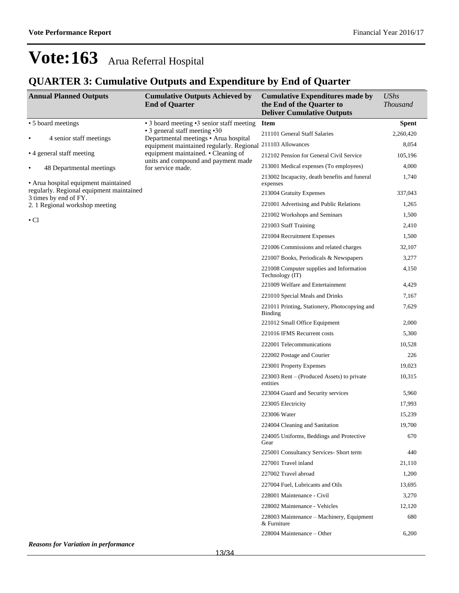## **QUARTER 3: Cumulative Outputs and Expenditure by End of Quarter**

| <b>Annual Planned Outputs</b>                                     | <b>Cumulative Outputs Achieved by</b><br><b>End of Quarter</b>          | <b>Cumulative Expenditures made by</b><br>the End of the Quarter to<br><b>Deliver Cumulative Outputs</b> | <b>UShs</b><br><b>Thousand</b> |
|-------------------------------------------------------------------|-------------------------------------------------------------------------|----------------------------------------------------------------------------------------------------------|--------------------------------|
| • 5 board meetings                                                | • 3 board meeting • 3 senior staff meeting                              | <b>Item</b>                                                                                              | <b>Spent</b>                   |
| 4 senior staff meetings                                           | • 3 general staff meeting • 30<br>Departmental meetings • Arua hospital | 211101 General Staff Salaries                                                                            | 2,260,420                      |
|                                                                   | equipment maintained regularly. Regional                                | 211103 Allowances                                                                                        | 8,054                          |
| • 4 general staff meeting                                         | equipment maintained. • Cleaning of                                     | 212102 Pension for General Civil Service                                                                 | 105,196                        |
| 48 Departmental meetings<br>$\bullet$                             | units and compound and payment made<br>for service made.                | 213001 Medical expenses (To employees)                                                                   | 4,000                          |
| • Arua hospital equipment maintained                              |                                                                         | 213002 Incapacity, death benefits and funeral<br>expenses                                                | 1,740                          |
| regularly. Regional equipment maintained<br>3 times by end of FY. |                                                                         | 213004 Gratuity Expenses                                                                                 | 337,043                        |
| 2. 1 Regional workshop meeting                                    |                                                                         | 221001 Advertising and Public Relations                                                                  | 1,265                          |
|                                                                   |                                                                         | 221002 Workshops and Seminars                                                                            | 1,500                          |
| $\cdot$ Cl                                                        |                                                                         | 221003 Staff Training                                                                                    | 2,410                          |
|                                                                   |                                                                         | 221004 Recruitment Expenses                                                                              | 1,500                          |
|                                                                   |                                                                         | 221006 Commissions and related charges                                                                   | 32,107                         |
|                                                                   |                                                                         | 221007 Books, Periodicals & Newspapers                                                                   | 3,277                          |
|                                                                   |                                                                         | 221008 Computer supplies and Information<br>Technology (IT)                                              | 4,150                          |
|                                                                   |                                                                         | 221009 Welfare and Entertainment                                                                         | 4,429                          |
|                                                                   |                                                                         | 221010 Special Meals and Drinks                                                                          | 7,167                          |
|                                                                   |                                                                         | 221011 Printing, Stationery, Photocopying and<br>Binding                                                 | 7,629                          |
|                                                                   |                                                                         | 221012 Small Office Equipment                                                                            | 2,000                          |
|                                                                   |                                                                         | 221016 IFMS Recurrent costs                                                                              | 5,300                          |
|                                                                   |                                                                         | 222001 Telecommunications                                                                                | 10,528                         |
|                                                                   |                                                                         | 222002 Postage and Courier                                                                               | 226                            |
|                                                                   |                                                                         | 223001 Property Expenses                                                                                 | 19,023                         |
|                                                                   |                                                                         | 223003 Rent $-$ (Produced Assets) to private<br>entities                                                 | 10,315                         |
|                                                                   |                                                                         | 223004 Guard and Security services                                                                       | 5,960                          |
|                                                                   |                                                                         | 223005 Electricity                                                                                       | 17,993                         |
|                                                                   |                                                                         | 223006 Water                                                                                             | 15,239                         |
|                                                                   |                                                                         | 224004 Cleaning and Sanitation                                                                           | 19,700                         |
|                                                                   |                                                                         | 224005 Uniforms, Beddings and Protective<br>Gear                                                         | 670                            |
|                                                                   |                                                                         | 225001 Consultancy Services- Short term                                                                  | 440                            |
|                                                                   |                                                                         | 227001 Travel inland                                                                                     | 21,110                         |
|                                                                   |                                                                         | 227002 Travel abroad                                                                                     | 1,200                          |
|                                                                   |                                                                         | 227004 Fuel, Lubricants and Oils                                                                         | 13,695                         |
|                                                                   |                                                                         | 228001 Maintenance - Civil                                                                               | 3,270                          |
|                                                                   |                                                                         | 228002 Maintenance - Vehicles                                                                            | 12,120                         |
|                                                                   |                                                                         | 228003 Maintenance - Machinery, Equipment<br>& Furniture                                                 | 680                            |
|                                                                   |                                                                         | 228004 Maintenance – Other                                                                               | 6,200                          |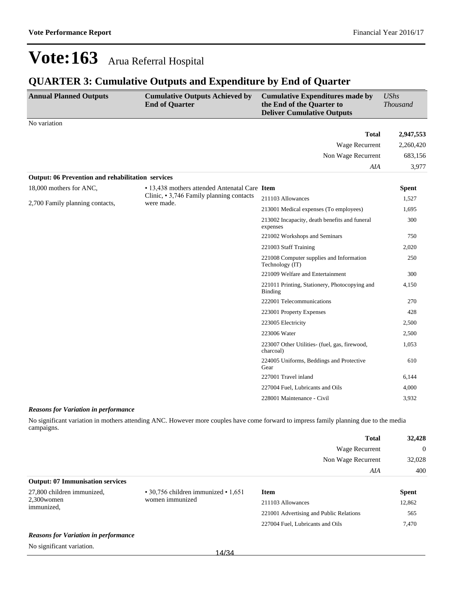### **QUARTER 3: Cumulative Outputs and Expenditure by End of Quarter**

| <b>Annual Planned Outputs</b>                            | <b>Cumulative Outputs Achieved by</b><br><b>End of Quarter</b> | <b>Cumulative Expenditures made by</b><br>the End of the Quarter to<br><b>Deliver Cumulative Outputs</b>                             | <b>UShs</b><br><b>Thousand</b> |
|----------------------------------------------------------|----------------------------------------------------------------|--------------------------------------------------------------------------------------------------------------------------------------|--------------------------------|
| No variation                                             |                                                                |                                                                                                                                      |                                |
|                                                          |                                                                | <b>Total</b>                                                                                                                         | 2,947,553                      |
|                                                          |                                                                | Wage Recurrent                                                                                                                       | 2,260,420                      |
|                                                          |                                                                | Non Wage Recurrent                                                                                                                   | 683,156                        |
|                                                          |                                                                | AIA                                                                                                                                  | 3,977                          |
| <b>Output: 06 Prevention and rehabilitation services</b> |                                                                |                                                                                                                                      |                                |
| 18,000 mothers for ANC,                                  | • 13,438 mothers attended Antenatal Care Item                  |                                                                                                                                      | <b>Spent</b>                   |
| 2,700 Family planning contacts,                          | Clinic, • 3,746 Family planning contacts<br>were made.         | 211103 Allowances                                                                                                                    | 1,527                          |
|                                                          |                                                                | 213001 Medical expenses (To employees)<br>213002 Incapacity, death benefits and funeral<br>expenses<br>221002 Workshops and Seminars | 1,695                          |
|                                                          |                                                                | 300                                                                                                                                  |                                |
|                                                          |                                                                |                                                                                                                                      | 750                            |
|                                                          |                                                                | 221003 Staff Training                                                                                                                | 2,020                          |
|                                                          |                                                                | 221008 Computer supplies and Information<br>Technology (IT)                                                                          | 250                            |
|                                                          |                                                                | 221009 Welfare and Entertainment                                                                                                     | 300                            |
|                                                          |                                                                | 221011 Printing, Stationery, Photocopying and<br><b>Binding</b>                                                                      | 4,150                          |
|                                                          |                                                                | 222001 Telecommunications                                                                                                            | 270                            |
|                                                          |                                                                | 223001 Property Expenses                                                                                                             | 428                            |
|                                                          |                                                                | 223005 Electricity                                                                                                                   | 2,500                          |
|                                                          |                                                                | 223006 Water                                                                                                                         | 2,500                          |
|                                                          |                                                                | 223007 Other Utilities- (fuel, gas, firewood,<br>charcoal)                                                                           | 1,053                          |
|                                                          |                                                                | 224005 Uniforms, Beddings and Protective<br>Gear                                                                                     | 610                            |
|                                                          |                                                                | 227001 Travel inland                                                                                                                 | 6,144                          |
|                                                          |                                                                | 227004 Fuel, Lubricants and Oils                                                                                                     | 4,000                          |
|                                                          |                                                                | 228001 Maintenance - Civil                                                                                                           | 3,932                          |

#### *Reasons for Variation in performance*

No significant variation in mothers attending ANC. However more couples have come forward to impress family planning due to the media campaigns.

|                                         |                                                 | <b>Total</b>                            | 32,428       |
|-----------------------------------------|-------------------------------------------------|-----------------------------------------|--------------|
|                                         |                                                 | Wage Recurrent                          | $\Omega$     |
|                                         |                                                 | Non Wage Recurrent                      | 32,028       |
|                                         |                                                 | AIA                                     | 400          |
| <b>Output: 07 Immunisation services</b> |                                                 |                                         |              |
| 27,800 children immunized,              | $\cdot$ 30,756 children immunized $\cdot$ 1,651 | <b>Item</b>                             | <b>Spent</b> |
| $2,300$ women<br>immunized,             | women immunized                                 | 211103 Allowances                       | 12,862       |
|                                         |                                                 | 221001 Advertising and Public Relations | 565          |

#### *Reasons for Variation in performance*

No significant variation.

227004 Fuel, Lubricants and Oils 7,470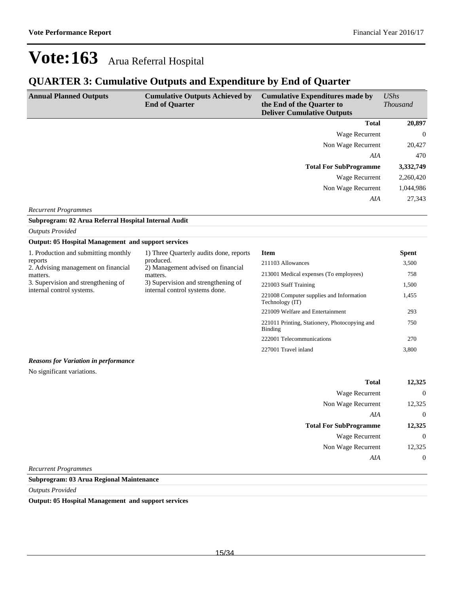227001 Travel inland 3,800

## **Vote:163** Arua Referral Hospital

### **QUARTER 3: Cumulative Outputs and Expenditure by End of Quarter**

| <b>Annual Planned Outputs</b> | <b>Cumulative Outputs Achieved by</b><br><b>End of Quarter</b> | <b>Cumulative Expenditures made by</b><br>the End of the Quarter to<br><b>Deliver Cumulative Outputs</b> | UShs<br><i>Thousand</i> |
|-------------------------------|----------------------------------------------------------------|----------------------------------------------------------------------------------------------------------|-------------------------|
|                               |                                                                | <b>Total</b>                                                                                             | 20,897                  |
|                               |                                                                | Wage Recurrent                                                                                           | $\overline{0}$          |
|                               |                                                                | Non Wage Recurrent                                                                                       | 20,427                  |
|                               |                                                                | AIA                                                                                                      | 470                     |
|                               |                                                                | <b>Total For SubProgramme</b>                                                                            | 3,332,749               |
|                               |                                                                | Wage Recurrent                                                                                           | 2,260,420               |
|                               |                                                                | Non Wage Recurrent                                                                                       | 1,044,986               |
|                               |                                                                | AIA                                                                                                      | 27,343                  |
| <b>Recurrent Programmes</b>   |                                                                |                                                                                                          |                         |

**Subprogram: 02 Arua Referral Hospital Internal Audit**

*Outputs Provided*

### **Output: 05 Hospital Management and support services**

| 1. Production and submitting monthly<br>reports<br>2. Advising management on financial | 1) Three Quarterly audits done, reports<br>produced.<br>2) Management advised on financial<br>matters.<br>3) Supervision and strengthening of<br>internal control systems done. | Item                                                        | <b>Spent</b> |
|----------------------------------------------------------------------------------------|---------------------------------------------------------------------------------------------------------------------------------------------------------------------------------|-------------------------------------------------------------|--------------|
|                                                                                        |                                                                                                                                                                                 | 211103 Allowances                                           | 3,500        |
| matters.                                                                               |                                                                                                                                                                                 | 213001 Medical expenses (To employees)                      | 758          |
| 3. Supervision and strengthening of                                                    |                                                                                                                                                                                 | 221003 Staff Training                                       | 1,500        |
| internal control systems.                                                              |                                                                                                                                                                                 | 221008 Computer supplies and Information<br>Technology (IT) | 1,455        |
|                                                                                        |                                                                                                                                                                                 | 221009 Welfare and Entertainment                            | 293          |
|                                                                                        |                                                                                                                                                                                 | 221011 Printing, Stationery, Photocopying and<br>Binding    | 750          |
|                                                                                        |                                                                                                                                                                                 | 222001 Telecommunications                                   | 270          |

*Reasons for Variation in performance*

No significant variations.

| 12,325         | <b>Total</b>                  |
|----------------|-------------------------------|
| $\overline{0}$ | <b>Wage Recurrent</b>         |
| 12,325         | Non Wage Recurrent            |
| $\overline{0}$ | AIA                           |
| 12,325         | <b>Total For SubProgramme</b> |
| $\overline{0}$ | <b>Wage Recurrent</b>         |
| 12,325         | Non Wage Recurrent            |
| $\overline{0}$ | AIA                           |
|                |                               |

*Recurrent Programmes*

**Subprogram: 03 Arua Regional Maintenance**

*Outputs Provided*

**Output: 05 Hospital Management and support services**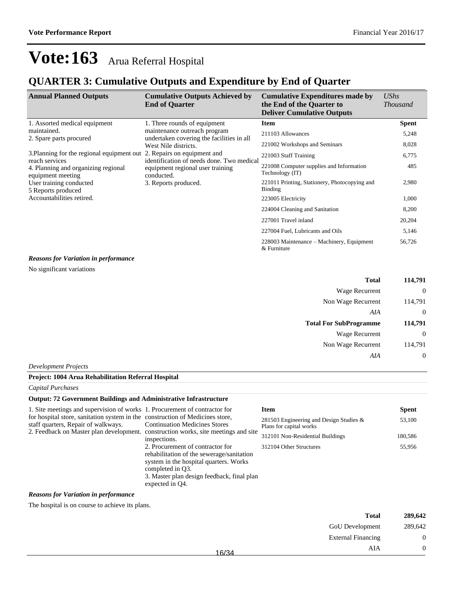### **QUARTER 3: Cumulative Outputs and Expenditure by End of Quarter**

| <b>Annual Planned Outputs</b>                                                                                                                                                       | <b>Cumulative Outputs Achieved by</b><br><b>End of Quarter</b>            | <b>Cumulative Expenditures made by</b><br>the End of the Quarter to<br><b>Deliver Cumulative Outputs</b> | UShs<br><b>Thousand</b> |
|-------------------------------------------------------------------------------------------------------------------------------------------------------------------------------------|---------------------------------------------------------------------------|----------------------------------------------------------------------------------------------------------|-------------------------|
| 1. Assorted medical equipment                                                                                                                                                       | 1. Three rounds of equipment                                              | <b>Item</b>                                                                                              | <b>Spent</b>            |
| maintained.<br>2. Spare parts procured                                                                                                                                              | maintenance outreach program<br>undertaken covering the facilities in all | 211103 Allowances                                                                                        | 5,248                   |
|                                                                                                                                                                                     | West Nile districts.                                                      | 221002 Workshops and Seminars                                                                            | 8,028                   |
| 3. Planning for the regional equipment out 2. Repairs on equipment and<br>reach services                                                                                            | identification of needs done. Two medical                                 | 221003 Staff Training                                                                                    | 6,775                   |
| equipment regional user training<br>4. Planning and organizing regional<br>conducted.<br>equipment meeting<br>User training conducted<br>3. Reports produced.<br>5 Reports produced |                                                                           | 221008 Computer supplies and Information<br>Technology (IT)                                              | 485                     |
|                                                                                                                                                                                     | 221011 Printing, Stationery, Photocopying and<br>Binding                  | 2,980                                                                                                    |                         |
| Accountabilities retired.                                                                                                                                                           |                                                                           | 223005 Electricity                                                                                       | 1,000                   |
|                                                                                                                                                                                     |                                                                           | 224004 Cleaning and Sanitation                                                                           | 8,200                   |
|                                                                                                                                                                                     |                                                                           | 227001 Travel inland                                                                                     | 20,204                  |
|                                                                                                                                                                                     |                                                                           | 227004 Fuel, Lubricants and Oils                                                                         | 5,146                   |
| $\mathbf{p}$ and $\mathbf{r}$ is the set of $\mathbf{r}$                                                                                                                            |                                                                           | 228003 Maintenance – Machinery, Equipment<br>& Furniture                                                 | 56,726                  |

#### *Reasons for Variation in performance*

No significant variations

| 114,791  | <b>Total</b>                  |
|----------|-------------------------------|
| $\theta$ | Wage Recurrent                |
| 114,791  | Non Wage Recurrent            |
| 0        | AIA                           |
|          |                               |
| 114,791  | <b>Total For SubProgramme</b> |
| $\theta$ | Wage Recurrent                |
| 114,791  | Non Wage Recurrent            |

#### *Development Projects*

#### **Project: 1004 Arua Rehabilitation Referral Hospital**

*Capital Purchases*

L,

### **Output: 72 Government Buildings and Administrative Infrastructure**

| 1. Site meetings and supervision of works 1. Procurement of contractor for                                           |                                                                                                                                                                                                              | Item                                                               | <b>Spent</b> |
|----------------------------------------------------------------------------------------------------------------------|--------------------------------------------------------------------------------------------------------------------------------------------------------------------------------------------------------------|--------------------------------------------------------------------|--------------|
| for hospital store, sanitation system in the construction of Medicines store,<br>staff quarters, Repair of walkways. | <b>Continuation Medicines Stores</b><br>2. Feedback on Master plan development. construction works, site meetings and site<br>inspections.                                                                   | 281503 Engineering and Design Studies &<br>Plans for capital works | 53,100       |
|                                                                                                                      |                                                                                                                                                                                                              | 312101 Non-Residential Buildings                                   | 180,586      |
|                                                                                                                      | 2. Procurement of contractor for<br>rehabilitation of the sewerage/sanitation<br>system in the hospital quarters. Works<br>completed in O3.<br>3. Master plan design feedback, final plan<br>expected in Q4. | 312104 Other Structures                                            | 55,956       |

### *Reasons for Variation in performance*

The hospital is on course to achieve its plans.

| 289,642  | <b>Total</b>              |       |
|----------|---------------------------|-------|
| 289,642  | <b>GoU</b> Development    |       |
| $\theta$ | <b>External Financing</b> |       |
| $\theta$ | AIA                       | 16/34 |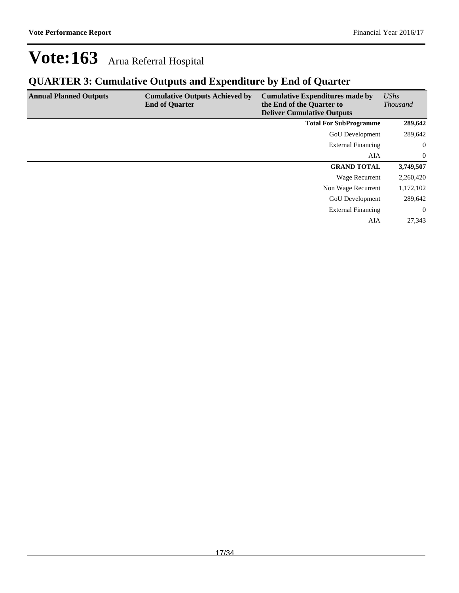## **QUARTER 3: Cumulative Outputs and Expenditure by End of Quarter**

| <b>Annual Planned Outputs</b> | <b>Cumulative Outputs Achieved by</b><br><b>End of Quarter</b> | <b>Cumulative Expenditures made by</b><br>the End of the Quarter to<br><b>Deliver Cumulative Outputs</b> | UShs<br><b>Thousand</b> |
|-------------------------------|----------------------------------------------------------------|----------------------------------------------------------------------------------------------------------|-------------------------|
|                               |                                                                | <b>Total For SubProgramme</b>                                                                            | 289,642                 |
|                               |                                                                | <b>GoU</b> Development                                                                                   | 289,642                 |
|                               |                                                                | <b>External Financing</b>                                                                                | $\overline{0}$          |
|                               |                                                                | AIA                                                                                                      | $\mathbf{0}$            |
|                               |                                                                | <b>GRAND TOTAL</b>                                                                                       | 3,749,507               |
|                               |                                                                | Wage Recurrent                                                                                           | 2,260,420               |
|                               |                                                                | Non Wage Recurrent                                                                                       | 1,172,102               |
|                               |                                                                | <b>GoU</b> Development                                                                                   | 289,642                 |
|                               |                                                                | <b>External Financing</b>                                                                                | $\overline{0}$          |
|                               |                                                                | AIA                                                                                                      | 27.343                  |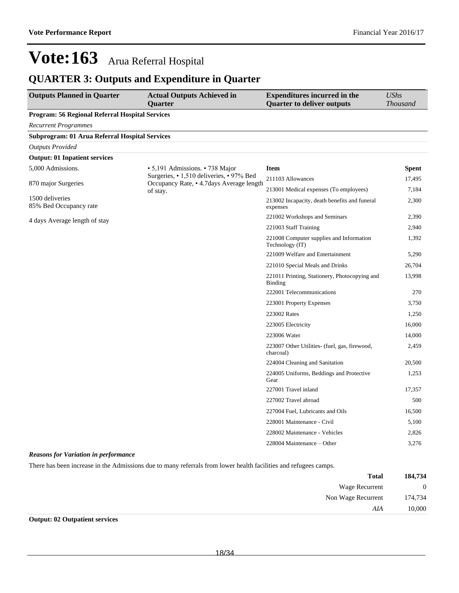### **QUARTER 3: Outputs and Expenditure in Quarter**

| <b>Outputs Planned in Quarter</b>                      | <b>Actual Outputs Achieved in</b><br>Quarter                                         | <b>Expenditures incurred in the</b><br><b>Quarter to deliver outputs</b> | <b>UShs</b><br><b>Thousand</b> |
|--------------------------------------------------------|--------------------------------------------------------------------------------------|--------------------------------------------------------------------------|--------------------------------|
| <b>Program: 56 Regional Referral Hospital Services</b> |                                                                                      |                                                                          |                                |
| <b>Recurrent Programmes</b>                            |                                                                                      |                                                                          |                                |
| Subprogram: 01 Arua Referral Hospital Services         |                                                                                      |                                                                          |                                |
| <b>Outputs Provided</b>                                |                                                                                      |                                                                          |                                |
| <b>Output: 01 Inpatient services</b>                   |                                                                                      |                                                                          |                                |
| 5,000 Admissions.                                      | • 5,191 Admissions. • 738 Major                                                      | <b>Item</b>                                                              | <b>Spent</b>                   |
| 870 major Surgeries                                    | Surgeries, • 1,510 deliveries, • 97% Bed<br>Occupancy Rate, • 4.7days Average length | 211103 Allowances                                                        | 17,495                         |
|                                                        | of stay.                                                                             | 213001 Medical expenses (To employees)                                   | 7,184                          |
| 1500 deliveries<br>85% Bed Occupancy rate              |                                                                                      | 213002 Incapacity, death benefits and funeral<br>expenses                | 2,300                          |
| 4 days Average length of stay                          |                                                                                      | 221002 Workshops and Seminars                                            | 2,390                          |
|                                                        |                                                                                      | 221003 Staff Training                                                    | 2,940                          |
|                                                        |                                                                                      | 221008 Computer supplies and Information<br>Technology (IT)              | 1,392                          |
|                                                        |                                                                                      | 221009 Welfare and Entertainment                                         | 5,290                          |
|                                                        |                                                                                      | 221010 Special Meals and Drinks                                          | 26,704                         |
|                                                        |                                                                                      | 221011 Printing, Stationery, Photocopying and<br>Binding                 | 13,998                         |
|                                                        |                                                                                      | 222001 Telecommunications                                                | 270                            |
|                                                        |                                                                                      | 223001 Property Expenses                                                 | 3,750                          |
|                                                        |                                                                                      | 223002 Rates                                                             | 1,250                          |
|                                                        |                                                                                      | 223005 Electricity                                                       | 16,000                         |
|                                                        |                                                                                      | 223006 Water                                                             | 14,000                         |
|                                                        |                                                                                      | 223007 Other Utilities- (fuel, gas, firewood,<br>charcoal)               | 2,459                          |
|                                                        |                                                                                      | 224004 Cleaning and Sanitation                                           | 20,500                         |
|                                                        |                                                                                      | 224005 Uniforms, Beddings and Protective<br>Gear                         | 1,253                          |
|                                                        |                                                                                      | 227001 Travel inland                                                     | 17,357                         |
|                                                        |                                                                                      | 227002 Travel abroad                                                     | 500                            |
|                                                        |                                                                                      | 227004 Fuel, Lubricants and Oils                                         | 16,500                         |
|                                                        |                                                                                      | 228001 Maintenance - Civil                                               | 5,100                          |
|                                                        |                                                                                      | 228002 Maintenance - Vehicles                                            | 2,826                          |
|                                                        |                                                                                      | 228004 Maintenance – Other                                               | 3,276                          |

#### *Reasons for Variation in performance*

There has been increase in the Admissions due to many referrals from lower health facilities and refugees camps.

| 184,734        | <b>Total</b>       |
|----------------|--------------------|
| $\overline{0}$ | Wage Recurrent     |
| 174,734        | Non Wage Recurrent |
| 10,000         | AIA                |
|                |                    |

**Output: 02 Outpatient services**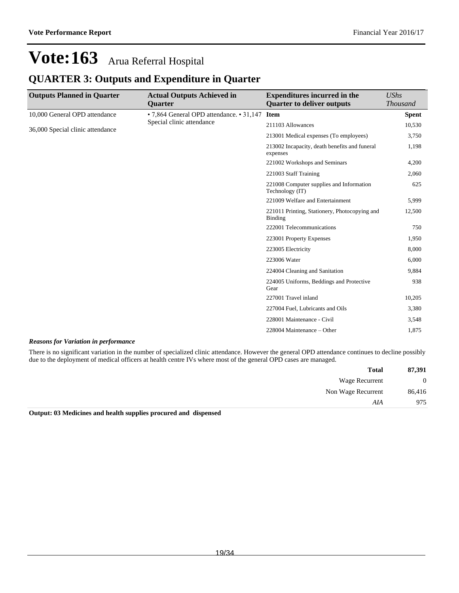### **QUARTER 3: Outputs and Expenditure in Quarter**

| <b>Outputs Planned in Quarter</b> | <b>Actual Outputs Achieved in</b><br><b>Ouarter</b> | <b>Expenditures incurred in the</b><br><b>Quarter to deliver outputs</b> | <b>UShs</b><br><b>Thousand</b> |
|-----------------------------------|-----------------------------------------------------|--------------------------------------------------------------------------|--------------------------------|
| 10,000 General OPD attendance     | • 7,864 General OPD attendance. • 31,147            | <b>Item</b>                                                              | <b>Spent</b>                   |
| 36,000 Special clinic attendance  | Special clinic attendance                           | 211103 Allowances                                                        | 10,530                         |
|                                   |                                                     | 213001 Medical expenses (To employees)                                   | 3,750                          |
|                                   |                                                     | 213002 Incapacity, death benefits and funeral<br>expenses                | 1,198                          |
|                                   |                                                     | 221002 Workshops and Seminars                                            | 4,200                          |
|                                   |                                                     | 221003 Staff Training                                                    | 2,060                          |
|                                   |                                                     | 221008 Computer supplies and Information<br>Technology (IT)              | 625                            |
|                                   |                                                     | 221009 Welfare and Entertainment                                         | 5,999                          |
|                                   |                                                     | 221011 Printing, Stationery, Photocopying and<br><b>Binding</b>          | 12,500                         |
|                                   |                                                     | 222001 Telecommunications                                                | 750                            |
|                                   |                                                     | 223001 Property Expenses                                                 | 1,950                          |
|                                   |                                                     | 223005 Electricity                                                       | 8,000                          |
|                                   |                                                     | 223006 Water                                                             | 6,000                          |
|                                   |                                                     | 224004 Cleaning and Sanitation                                           | 9,884                          |
|                                   |                                                     | 224005 Uniforms, Beddings and Protective<br>Gear                         | 938                            |
|                                   |                                                     | 227001 Travel inland                                                     | 10,205                         |
|                                   |                                                     | 227004 Fuel, Lubricants and Oils                                         | 3,380                          |
|                                   |                                                     | 228001 Maintenance - Civil                                               | 3,548                          |
|                                   |                                                     | 228004 Maintenance – Other                                               | 1,875                          |

### *Reasons for Variation in performance*

There is no significant variation in the number of specialized clinic attendance. However the general OPD attendance continues to decline possibly due to the deployment of medical officers at health centre IVs where most of the general OPD cases are managed.

| 87,391         | <b>Total</b>       |
|----------------|--------------------|
| $\overline{0}$ | Wage Recurrent     |
| 86,416         | Non Wage Recurrent |
| 975            | AIA                |

**Output: 03 Medicines and health supplies procured and dispensed**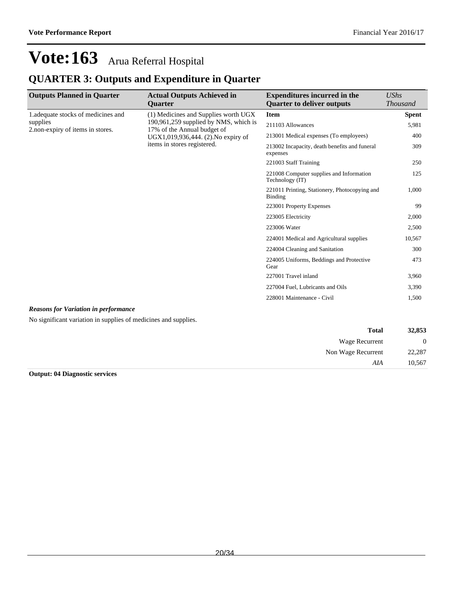## **QUARTER 3: Outputs and Expenditure in Quarter**

| <b>Outputs Planned in Quarter</b>           | <b>Actual Outputs Achieved in</b><br>Quarter                                                                                                                                       | <b>Expenditures incurred in the</b><br><b>Quarter to deliver outputs</b> | UShs<br><b>Thousand</b>                          |       |
|---------------------------------------------|------------------------------------------------------------------------------------------------------------------------------------------------------------------------------------|--------------------------------------------------------------------------|--------------------------------------------------|-------|
| 1. adequate stocks of medicines and         | (1) Medicines and Supplies worth UGX<br>190,961,259 supplied by NMS, which is<br>17% of the Annual budget of<br>UGX1,019,936,444. (2). No expiry of<br>items in stores registered. | <b>Item</b>                                                              | <b>Spent</b>                                     |       |
| supplies                                    |                                                                                                                                                                                    |                                                                          | 211103 Allowances                                | 5,981 |
| 2.non-expiry of items in stores.            |                                                                                                                                                                                    | 213001 Medical expenses (To employees)                                   | 400                                              |       |
|                                             |                                                                                                                                                                                    | 213002 Incapacity, death benefits and funeral<br>expenses                | 309                                              |       |
|                                             |                                                                                                                                                                                    | 221003 Staff Training                                                    | 250                                              |       |
|                                             |                                                                                                                                                                                    | 221008 Computer supplies and Information<br>Technology (IT)              | 125                                              |       |
|                                             |                                                                                                                                                                                    | 221011 Printing, Stationery, Photocopying and<br><b>Binding</b>          | 1,000                                            |       |
|                                             |                                                                                                                                                                                    | 223001 Property Expenses                                                 | 99                                               |       |
|                                             |                                                                                                                                                                                    | 223005 Electricity                                                       | 2,000                                            |       |
|                                             |                                                                                                                                                                                    | 223006 Water                                                             | 2,500                                            |       |
|                                             |                                                                                                                                                                                    | 224001 Medical and Agricultural supplies                                 | 10,567                                           |       |
|                                             |                                                                                                                                                                                    | 224004 Cleaning and Sanitation                                           | 300                                              |       |
|                                             |                                                                                                                                                                                    |                                                                          | 224005 Uniforms, Beddings and Protective<br>Gear | 473   |
|                                             |                                                                                                                                                                                    | 227001 Travel inland                                                     | 3,960                                            |       |
|                                             |                                                                                                                                                                                    | 227004 Fuel, Lubricants and Oils                                         | 3,390                                            |       |
|                                             |                                                                                                                                                                                    | 228001 Maintenance - Civil                                               | 1,500                                            |       |
| <b>Reasons for Variation in performance</b> |                                                                                                                                                                                    |                                                                          |                                                  |       |

No significant variation in supplies of medicines and supplies.

| 32,853         | <b>Total</b>       |
|----------------|--------------------|
| $\overline{0}$ | Wage Recurrent     |
| 22,287         | Non Wage Recurrent |
| 10,567         | AIA                |

**Output: 04 Diagnostic services**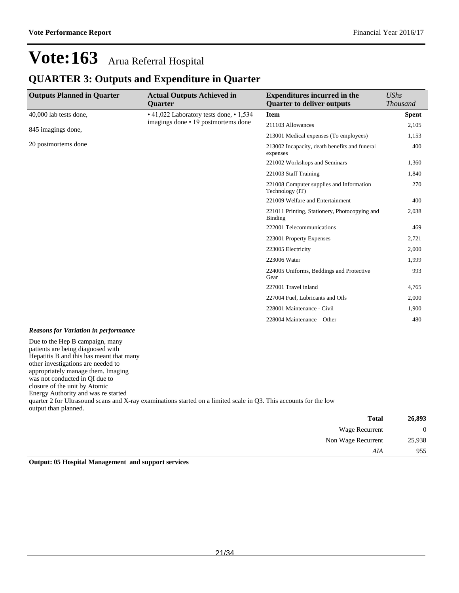### **QUARTER 3: Outputs and Expenditure in Quarter**

| <b>Outputs Planned in Quarter</b>                                                                                | <b>Actual Outputs Achieved in</b><br><b>Ouarter</b> | <b>Expenditures incurred in the</b><br><b>Quarter to deliver outputs</b> | <b>UShs</b><br><b>Thousand</b> |
|------------------------------------------------------------------------------------------------------------------|-----------------------------------------------------|--------------------------------------------------------------------------|--------------------------------|
| 40,000 lab tests done,                                                                                           | • 41,022 Laboratory tests done, • 1,534             | Item                                                                     | <b>Spent</b>                   |
|                                                                                                                  | imagings done • 19 postmortems done                 | 211103 Allowances                                                        | 2,105                          |
| 845 imagings done,                                                                                               |                                                     | 213001 Medical expenses (To employees)                                   | 1,153                          |
| 20 postmortems done                                                                                              |                                                     | 213002 Incapacity, death benefits and funeral<br>expenses                | 400                            |
|                                                                                                                  |                                                     | 221002 Workshops and Seminars                                            | 1,360                          |
|                                                                                                                  |                                                     | 221003 Staff Training                                                    | 1,840                          |
|                                                                                                                  |                                                     | 221008 Computer supplies and Information<br>Technology (IT)              | 270                            |
|                                                                                                                  |                                                     | 221009 Welfare and Entertainment                                         | 400                            |
|                                                                                                                  |                                                     | 221011 Printing, Stationery, Photocopying and<br><b>Binding</b>          | 2,038                          |
|                                                                                                                  |                                                     | 222001 Telecommunications                                                | 469                            |
|                                                                                                                  |                                                     | 223001 Property Expenses                                                 | 2,721                          |
|                                                                                                                  |                                                     | 223005 Electricity                                                       | 2,000                          |
|                                                                                                                  |                                                     | 223006 Water                                                             | 1,999                          |
|                                                                                                                  |                                                     | 224005 Uniforms, Beddings and Protective<br>Gear                         | 993                            |
|                                                                                                                  |                                                     | 227001 Travel inland                                                     | 4,765                          |
|                                                                                                                  |                                                     | 227004 Fuel, Lubricants and Oils                                         | 2,000                          |
|                                                                                                                  |                                                     | 228001 Maintenance - Civil                                               | 1,900                          |
|                                                                                                                  |                                                     | 228004 Maintenance - Other                                               | 480                            |
| <b>Reasons for Variation in performance</b>                                                                      |                                                     |                                                                          |                                |
| Due to the Hep B campaign, many<br>patients are being diagnosed with<br>Henatitis B and this has meant that many |                                                     |                                                                          |                                |

Hepatitis B and this has meant that many other investigations are needed to appropriately manage them. Imaging was not conducted in QI due to closure of the unit by Atomic Energy Authority and was re started quarter 2 for Ultrasound scans and X-ray examinations started on a limited scale in Q3. This accounts for the low output than planned.

| 26,893 | <b>Total</b>       |  |
|--------|--------------------|--|
|        | Wage Recurrent     |  |
| 25,938 | Non Wage Recurrent |  |
| 955    | AIA                |  |
|        |                    |  |

**Output: 05 Hospital Management and support services**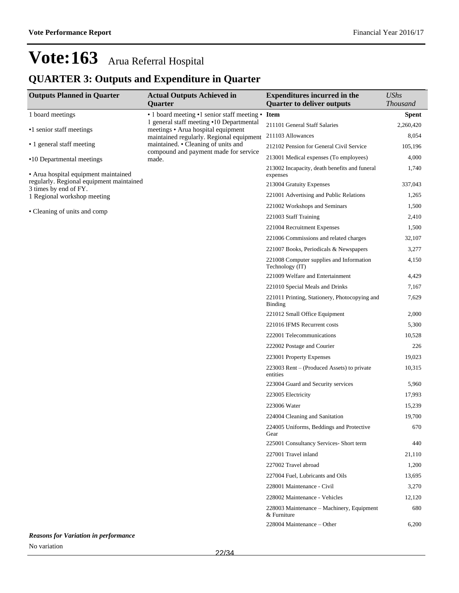## **QUARTER 3: Outputs and Expenditure in Quarter**

| <b>Outputs Planned in Quarter</b>                                                | <b>Actual Outputs Achieved in</b>                                                        | <b>Expenditures incurred in the</b>                         | <b>UShs</b><br><b>Thousand</b> |
|----------------------------------------------------------------------------------|------------------------------------------------------------------------------------------|-------------------------------------------------------------|--------------------------------|
|                                                                                  | Quarter                                                                                  | <b>Quarter to deliver outputs</b>                           |                                |
| 1 board meetings                                                                 | • 1 board meeting • 1 senior staff meeting •<br>1 general staff meeting •10 Departmental | <b>Item</b><br>211101 General Staff Salaries                | <b>Spent</b><br>2,260,420      |
| •1 senior staff meetings                                                         | meetings • Arua hospital equipment                                                       | 211103 Allowances                                           | 8,054                          |
| • 1 general staff meeting                                                        | maintained regularly. Regional equipment<br>maintained. • Cleaning of units and          | 212102 Pension for General Civil Service                    | 105,196                        |
|                                                                                  | compound and payment made for service                                                    | 213001 Medical expenses (To employees)                      | 4,000                          |
| •10 Departmental meetings                                                        | made.                                                                                    | 213002 Incapacity, death benefits and funeral               | 1,740                          |
| • Arua hospital equipment maintained<br>regularly. Regional equipment maintained |                                                                                          | expenses<br>213004 Gratuity Expenses                        | 337,043                        |
| 3 times by end of FY.                                                            |                                                                                          | 221001 Advertising and Public Relations                     | 1,265                          |
| 1 Regional workshop meeting                                                      |                                                                                          | 221002 Workshops and Seminars                               | 1,500                          |
| • Cleaning of units and comp                                                     |                                                                                          | 221003 Staff Training                                       | 2,410                          |
|                                                                                  |                                                                                          | 221004 Recruitment Expenses                                 | 1,500                          |
|                                                                                  |                                                                                          | 221006 Commissions and related charges                      | 32,107                         |
|                                                                                  |                                                                                          |                                                             |                                |
|                                                                                  |                                                                                          | 221007 Books, Periodicals & Newspapers                      | 3,277                          |
|                                                                                  |                                                                                          | 221008 Computer supplies and Information<br>Technology (IT) | 4,150                          |
|                                                                                  |                                                                                          | 221009 Welfare and Entertainment                            | 4,429                          |
|                                                                                  |                                                                                          | 221010 Special Meals and Drinks                             | 7,167                          |
|                                                                                  |                                                                                          | 221011 Printing, Stationery, Photocopying and<br>Binding    | 7,629                          |
|                                                                                  |                                                                                          | 221012 Small Office Equipment                               | 2,000                          |
|                                                                                  |                                                                                          | 221016 IFMS Recurrent costs                                 | 5,300                          |
|                                                                                  |                                                                                          | 222001 Telecommunications                                   | 10,528                         |
|                                                                                  |                                                                                          | 222002 Postage and Courier                                  | 226                            |
|                                                                                  |                                                                                          | 223001 Property Expenses                                    | 19,023                         |
|                                                                                  |                                                                                          | 223003 Rent – (Produced Assets) to private<br>entities      | 10,315                         |
|                                                                                  |                                                                                          | 223004 Guard and Security services                          | 5,960                          |
|                                                                                  |                                                                                          | 223005 Electricity                                          | 17,993                         |
|                                                                                  |                                                                                          | 223006 Water                                                | 15,239                         |
|                                                                                  |                                                                                          | 224004 Cleaning and Sanitation                              | 19,700                         |
|                                                                                  |                                                                                          | 224005 Uniforms, Beddings and Protective<br>Gear            | 670                            |
|                                                                                  |                                                                                          | 225001 Consultancy Services- Short term                     | 440                            |
|                                                                                  |                                                                                          | 227001 Travel inland                                        | 21,110                         |
|                                                                                  |                                                                                          | 227002 Travel abroad                                        | 1,200                          |
|                                                                                  |                                                                                          | 227004 Fuel, Lubricants and Oils                            | 13,695                         |
|                                                                                  |                                                                                          | 228001 Maintenance - Civil                                  | 3,270                          |
|                                                                                  |                                                                                          | 228002 Maintenance - Vehicles                               | 12,120                         |
|                                                                                  |                                                                                          | 228003 Maintenance - Machinery, Equipment<br>& Furniture    | 680                            |
|                                                                                  |                                                                                          | 228004 Maintenance – Other                                  | 6,200                          |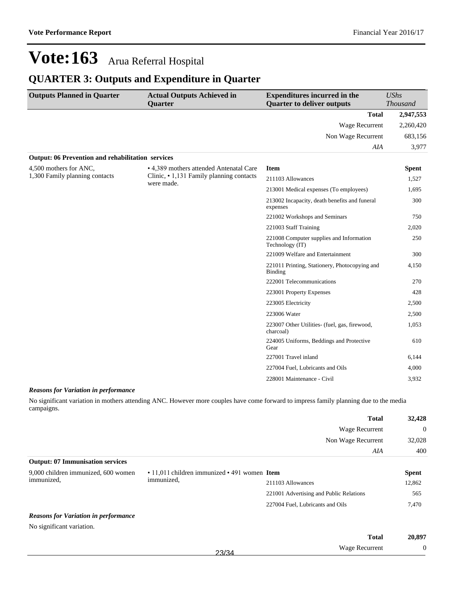### **QUARTER 3: Outputs and Expenditure in Quarter**

| <b>Outputs Planned in Quarter</b>                        | <b>Actual Outputs Achieved in</b><br>Quarter           | <b>Expenditures incurred in the</b><br><b>Quarter to deliver outputs</b> | <b>UShs</b><br><b>Thousand</b> |
|----------------------------------------------------------|--------------------------------------------------------|--------------------------------------------------------------------------|--------------------------------|
|                                                          |                                                        |                                                                          |                                |
|                                                          |                                                        | <b>Total</b>                                                             | 2,947,553                      |
|                                                          |                                                        | <b>Wage Recurrent</b>                                                    | 2,260,420                      |
|                                                          |                                                        | Non Wage Recurrent                                                       | 683,156                        |
|                                                          |                                                        | AIA                                                                      | 3,977                          |
| <b>Output: 06 Prevention and rehabilitation services</b> |                                                        |                                                                          |                                |
| 4,500 mothers for ANC.                                   | • 4,389 mothers attended Antenatal Care                | <b>Item</b>                                                              | <b>Spent</b>                   |
| 1,300 Family planning contacts                           | Clinic, • 1,131 Family planning contacts<br>were made. | 211103 Allowances                                                        | 1,527                          |
|                                                          |                                                        | 213001 Medical expenses (To employees)                                   | 1,695                          |
|                                                          |                                                        | 213002 Incapacity, death benefits and funeral<br>expenses                | 300                            |
|                                                          |                                                        | 221002 Workshops and Seminars                                            | 750                            |
|                                                          |                                                        | 221003 Staff Training                                                    | 2,020                          |
|                                                          |                                                        | 221008 Computer supplies and Information<br>Technology (IT)              | 250                            |
|                                                          |                                                        | 221009 Welfare and Entertainment                                         | 300                            |
|                                                          |                                                        | 221011 Printing, Stationery, Photocopying and<br><b>Binding</b>          | 4,150                          |
|                                                          |                                                        | 222001 Telecommunications                                                | 270                            |
|                                                          |                                                        | 223001 Property Expenses                                                 | 428                            |
|                                                          |                                                        | 223005 Electricity                                                       | 2,500                          |
|                                                          |                                                        | 223006 Water                                                             | 2,500                          |
|                                                          |                                                        | 223007 Other Utilities- (fuel, gas, firewood,<br>charcoal)               | 1,053                          |
|                                                          |                                                        | 224005 Uniforms, Beddings and Protective<br>Gear                         | 610                            |
|                                                          |                                                        | 227001 Travel inland                                                     | 6,144                          |
|                                                          |                                                        | 227004 Fuel, Lubricants and Oils                                         | 4,000                          |
|                                                          |                                                        | 228001 Maintenance - Civil                                               | 3,932                          |

#### *Reasons for Variation in performance*

No significant variation in mothers attending ANC. However more couples have come forward to impress family planning due to the media campaigns.

|                                             |                                              | <b>Total</b>                                | 32,428       |
|---------------------------------------------|----------------------------------------------|---------------------------------------------|--------------|
|                                             |                                              | Wage Recurrent<br>Non Wage Recurrent<br>AIA | $\theta$     |
|                                             |                                              |                                             | 32,028       |
|                                             |                                              |                                             | 400          |
| <b>Output: 07 Immunisation services</b>     |                                              |                                             |              |
| 9,000 children immunized, 600 women         | • 11,011 children immunized • 491 women Item |                                             | <b>Spent</b> |
| immunized,                                  | immunized,                                   | 211103 Allowances                           | 12,862       |
|                                             |                                              | 221001 Advertising and Public Relations     | 565          |
|                                             |                                              | 227004 Fuel, Lubricants and Oils            | 7,470        |
| <b>Reasons for Variation in performance</b> |                                              |                                             |              |
| No significant variation.                   |                                              |                                             |              |
|                                             |                                              | <b>Total</b>                                | 20.897       |

23/34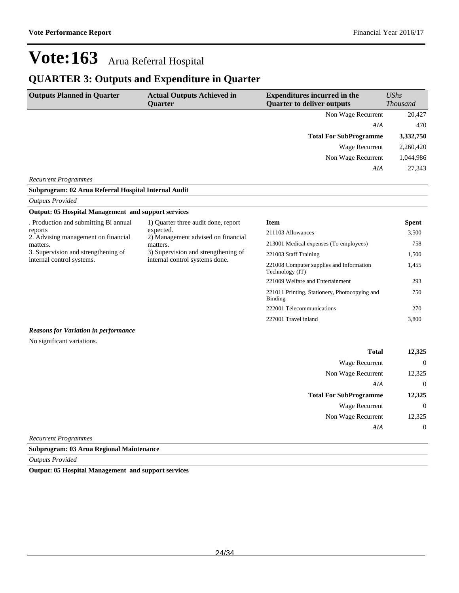227001 Travel inland 3,800

## **Vote:163** Arua Referral Hospital

### **QUARTER 3: Outputs and Expenditure in Quarter**

| <b>Outputs Planned in Quarter</b> | <b>Actual Outputs Achieved in</b><br><b>Ouarter</b> | <b>Expenditures incurred in the</b><br><b>Quarter to deliver outputs</b> | $\mathit{UShs}$<br><i>Thousand</i> |
|-----------------------------------|-----------------------------------------------------|--------------------------------------------------------------------------|------------------------------------|
|                                   |                                                     | Non Wage Recurrent                                                       | 20,427                             |
|                                   |                                                     | AIA                                                                      | 470                                |
|                                   |                                                     | <b>Total For SubProgramme</b>                                            | 3,332,750                          |
|                                   |                                                     | Wage Recurrent                                                           | 2,260,420                          |
|                                   |                                                     | Non Wage Recurrent                                                       | 1,044,986                          |
|                                   |                                                     | AIA                                                                      | 27,343                             |
| <b>Recurrent Programmes</b>       |                                                     |                                                                          |                                    |

### **Subprogram: 02 Arua Referral Hospital Internal Audit**

#### *Outputs Provided*

| <b>Output: 05 Hospital Management and support services</b>                                                                                                                                    |                                                                       |                                                             |              |
|-----------------------------------------------------------------------------------------------------------------------------------------------------------------------------------------------|-----------------------------------------------------------------------|-------------------------------------------------------------|--------------|
| . Production and submitting Bi annual                                                                                                                                                         | 1) Quarter three audit done, report                                   | <b>Item</b>                                                 | <b>Spent</b> |
| expected.<br>reports<br>2) Management advised on financial<br>2. Advising management on financial<br>matters.<br>matters.<br>3. Supervision and strengthening of<br>internal control systems. |                                                                       | 211103 Allowances                                           | 3,500        |
|                                                                                                                                                                                               |                                                                       | 213001 Medical expenses (To employees)                      | 758          |
|                                                                                                                                                                                               | 3) Supervision and strengthening of<br>internal control systems done. | 221003 Staff Training                                       | 1,500        |
|                                                                                                                                                                                               |                                                                       | 221008 Computer supplies and Information<br>Technology (IT) | 1,455        |
|                                                                                                                                                                                               |                                                                       | 221009 Welfare and Entertainment                            | 293          |
|                                                                                                                                                                                               |                                                                       | 221011 Printing, Stationery, Photocopying and<br>Binding    | 750          |
|                                                                                                                                                                                               |                                                                       | 222001 Telecommunications                                   | 270          |

#### *Reasons for Variation in performance*

No significant variations.

| 12,325         | <b>Total</b>                  |
|----------------|-------------------------------|
| $\overline{0}$ | <b>Wage Recurrent</b>         |
| 12,325         | Non Wage Recurrent            |
| $\overline{0}$ | AIA                           |
| 12,325         | <b>Total For SubProgramme</b> |
| $\overline{0}$ | <b>Wage Recurrent</b>         |
| 12,325         | Non Wage Recurrent            |
| $\overline{0}$ | AIA                           |
|                | $\overline{\phantom{a}}$      |

*Recurrent Programmes*

#### **Subprogram: 03 Arua Regional Maintenance**

*Outputs Provided*

**Output: 05 Hospital Management and support services**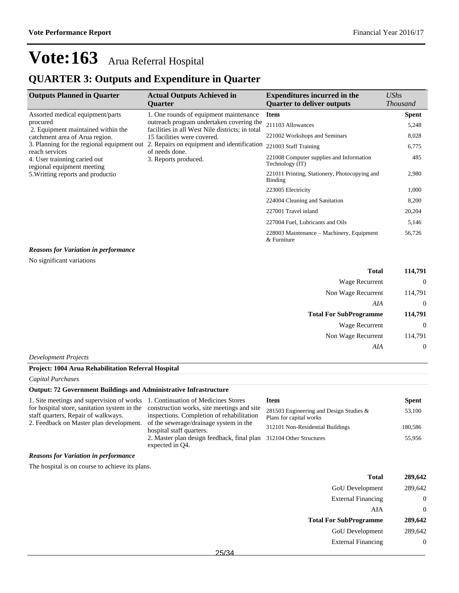### **QUARTER 3: Outputs and Expenditure in Quarter**

| <b>Outputs Planned in Quarter</b>                                                                                 | <b>Actual Outputs Achieved in</b><br><b>Ouarter</b>                                                                                                                                                                | <b>Expenditures incurred in the</b><br><b>Quarter to deliver outputs</b> | UShs<br><b>Thousand</b> |
|-------------------------------------------------------------------------------------------------------------------|--------------------------------------------------------------------------------------------------------------------------------------------------------------------------------------------------------------------|--------------------------------------------------------------------------|-------------------------|
| Assorted medical equipment/parts                                                                                  | 1. One rounds of equipment maintenance                                                                                                                                                                             | <b>Item</b>                                                              | <b>Spent</b>            |
| procured<br>2. Equipment maintained within the                                                                    | outreach program undertaken covering the<br>facilities in all West Nile districts; in total<br>15 facilities were covered.<br>2. Repairs on equipment and identification<br>of needs done.<br>3. Reports produced. | 211103 Allowances                                                        | 5,248                   |
| catchment area of Arua region.                                                                                    |                                                                                                                                                                                                                    | 221002 Workshops and Seminars                                            | 8,028                   |
| 3. Planning for the regional equipment out                                                                        |                                                                                                                                                                                                                    | 221003 Staff Training                                                    | 6,775                   |
| reach services<br>4. User trainning caried out<br>regional equipment meeting<br>5. Writting reports and productio |                                                                                                                                                                                                                    | 221008 Computer supplies and Information<br>Technology (IT)              | 485                     |
|                                                                                                                   |                                                                                                                                                                                                                    | 221011 Printing, Stationery, Photocopying and<br>Binding                 | 2,980                   |
|                                                                                                                   |                                                                                                                                                                                                                    | 223005 Electricity                                                       | 1,000                   |
|                                                                                                                   |                                                                                                                                                                                                                    | 224004 Cleaning and Sanitation                                           | 8,200                   |
|                                                                                                                   |                                                                                                                                                                                                                    | 227001 Travel inland                                                     | 20,204                  |
|                                                                                                                   |                                                                                                                                                                                                                    | 227004 Fuel, Lubricants and Oils                                         | 5,146                   |
|                                                                                                                   |                                                                                                                                                                                                                    | 228003 Maintenance – Machinery, Equipment<br>& Furniture                 | 56,726                  |

*Reasons for Variation in performance*

No significant variations

| Total                         | 114,791  |
|-------------------------------|----------|
| Wage Recurrent                | $\theta$ |
| Non Wage Recurrent            | 114,791  |
| AIA                           | $\theta$ |
|                               |          |
| <b>Total For SubProgramme</b> | 114,791  |
| Wage Recurrent                | $\theta$ |
| Non Wage Recurrent            | 114,791  |

*Development Projects*

### **Project: 1004 Arua Rehabilitation Referral Hospital**

*Capital Purchases*

### **Output: 72 Government Buildings and Administrative Infrastructure**

| 1. Site meetings and supervision of works 1. Continuation of Medicines Stores                                                  |                                                                                       | Item                                                               | <b>Spent</b> |
|--------------------------------------------------------------------------------------------------------------------------------|---------------------------------------------------------------------------------------|--------------------------------------------------------------------|--------------|
| for hospital store, sanitation system in the construction works, site meetings and site<br>staff quarters, Repair of walkways. | inspections. Completion of rehabilitation                                             | 281503 Engineering and Design Studies &<br>Plans for capital works | 53,100       |
| 2. Feedback on Master plan development.                                                                                        | of the sewerage/drainage system in the<br>hospital staff quarters.                    | 312101 Non-Residential Buildings                                   | 180.586      |
|                                                                                                                                | 2. Master plan design feedback, final plan 312104 Other Structures<br>expected in O4. |                                                                    | 55.956       |

#### *Reasons for Variation in performance*

The hospital is on course to achieve its plans.

| <b>Total</b>                  | 289,642 |
|-------------------------------|---------|
| <b>GoU</b> Development        | 289,642 |
| <b>External Financing</b>     |         |
| AIA                           | 0       |
| <b>Total For SubProgramme</b> | 289,642 |
| <b>GoU</b> Development        | 289.642 |
| <b>External Financing</b>     |         |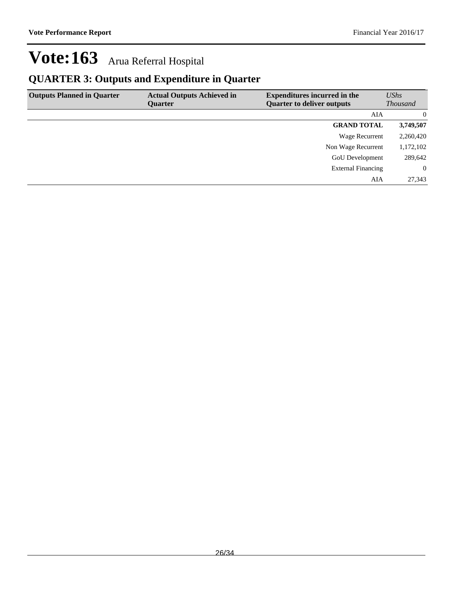## **QUARTER 3: Outputs and Expenditure in Quarter**

| <b>Outputs Planned in Quarter</b> | <b>Actual Outputs Achieved in</b> | <b>Expenditures incurred in the</b> | UShs            |
|-----------------------------------|-----------------------------------|-------------------------------------|-----------------|
|                                   | <b>Ouarter</b>                    | <b>Quarter to deliver outputs</b>   | <i>Thousand</i> |
|                                   |                                   | AIA                                 | $\Omega$        |
|                                   |                                   | <b>GRAND TOTAL</b>                  | 3,749,507       |
|                                   |                                   | Wage Recurrent                      | 2,260,420       |
|                                   |                                   | Non Wage Recurrent                  | 1,172,102       |
|                                   |                                   | <b>GoU</b> Development              | 289,642         |
|                                   |                                   | <b>External Financing</b>           | $\Omega$        |
|                                   |                                   | AIA                                 | 27,343          |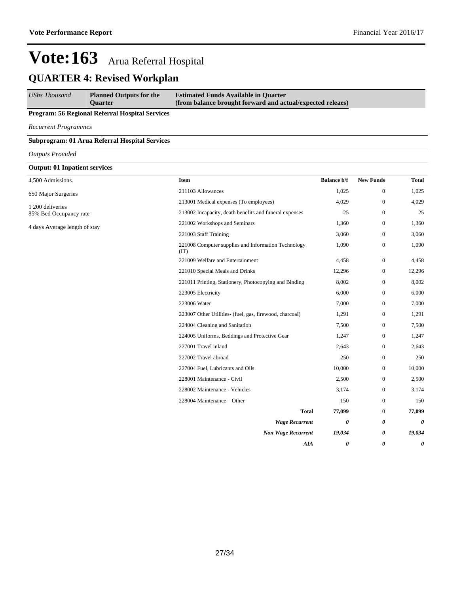## **QUARTER 4: Revised Workplan**

*UShs Thousand* **Planned Outputs for the Quarter Estimated Funds Available in Quarter (from balance brought forward and actual/expected releaes)**

### **Program: 56 Regional Referral Hospital Services**

*Recurrent Programmes*

#### **Subprogram: 01 Arua Referral Hospital Services**

*Outputs Provided*

### **Output: 01 Inpatient services**

| 4,500 Admissions.             | <b>Item</b>                                                 | <b>Balance b/f</b> | <b>New Funds</b>      | <b>Total</b> |
|-------------------------------|-------------------------------------------------------------|--------------------|-----------------------|--------------|
| 650 Major Surgeries           | 211103 Allowances                                           | 1,025              | $\boldsymbol{0}$      | 1,025        |
| 1 200 deliveries              | 213001 Medical expenses (To employees)                      | 4,029              | $\boldsymbol{0}$      | 4,029        |
| 85% Bed Occupancy rate        | 213002 Incapacity, death benefits and funeral expenses      | 25                 | $\boldsymbol{0}$      | 25           |
| 4 days Average length of stay | 221002 Workshops and Seminars                               | 1,360              | $\mathbf{0}$          | 1,360        |
|                               | 221003 Staff Training                                       | 3,060              | $\boldsymbol{0}$      | 3,060        |
|                               | 221008 Computer supplies and Information Technology<br>(TT) | 1,090              | $\boldsymbol{0}$      | 1,090        |
|                               | 221009 Welfare and Entertainment                            | 4,458              | $\mathbf{0}$          | 4,458        |
|                               | 221010 Special Meals and Drinks                             | 12,296             | $\boldsymbol{0}$      | 12,296       |
|                               | 221011 Printing, Stationery, Photocopying and Binding       | 8,002              | $\boldsymbol{0}$      | 8,002        |
|                               | 223005 Electricity                                          | 6,000              | $\boldsymbol{0}$      | 6,000        |
|                               | 223006 Water                                                | 7,000              | $\mathbf{0}$          | 7,000        |
|                               | 223007 Other Utilities- (fuel, gas, firewood, charcoal)     | 1,291              | $\boldsymbol{0}$      | 1,291        |
|                               | 224004 Cleaning and Sanitation                              | 7,500              | $\mathbf{0}$          | 7,500        |
|                               | 224005 Uniforms, Beddings and Protective Gear               | 1,247              | $\boldsymbol{0}$      | 1,247        |
|                               | 227001 Travel inland                                        | 2,643              | $\mathbf{0}$          | 2,643        |
|                               | 227002 Travel abroad                                        | 250                | $\boldsymbol{0}$      | 250          |
|                               | 227004 Fuel, Lubricants and Oils                            | 10,000             | $\boldsymbol{0}$      | 10,000       |
|                               | 228001 Maintenance - Civil                                  | 2,500              | $\boldsymbol{0}$      | 2,500        |
|                               | 228002 Maintenance - Vehicles                               | 3,174              | $\boldsymbol{0}$      | 3,174        |
|                               | 228004 Maintenance - Other                                  | 150                | $\boldsymbol{0}$      | 150          |
|                               | <b>Total</b>                                                | 77,099             | $\mathbf{0}$          | 77,099       |
|                               | <b>Wage Recurrent</b>                                       | 0                  | 0                     | 0            |
|                               | <b>Non Wage Recurrent</b>                                   | 19,034             | 0                     | 19,034       |
|                               | <b>AIA</b>                                                  | 0                  | $\boldsymbol{\theta}$ | 0            |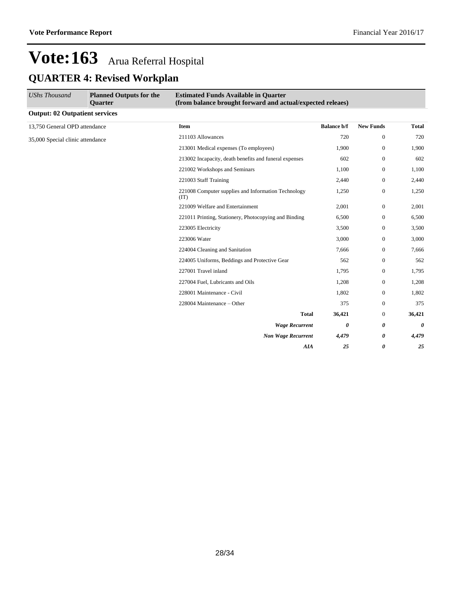| <b>UShs Thousand</b>                  | <b>Planned Outputs for the</b><br>Quarter | <b>Estimated Funds Available in Quarter</b><br>(from balance brought forward and actual/expected releaes) |                    |                  |        |
|---------------------------------------|-------------------------------------------|-----------------------------------------------------------------------------------------------------------|--------------------|------------------|--------|
| <b>Output: 02 Outpatient services</b> |                                           |                                                                                                           |                    |                  |        |
| 13,750 General OPD attendance         |                                           | <b>Item</b>                                                                                               | <b>Balance b/f</b> | <b>New Funds</b> | Total  |
| 35,000 Special clinic attendance      |                                           | 211103 Allowances                                                                                         | 720                | $\mathbf{0}$     | 720    |
|                                       |                                           | 213001 Medical expenses (To employees)                                                                    | 1,900              | $\boldsymbol{0}$ | 1,900  |
|                                       |                                           | 213002 Incapacity, death benefits and funeral expenses                                                    | 602                | $\mathbf{0}$     | 602    |
|                                       |                                           | 221002 Workshops and Seminars                                                                             | 1,100              | $\boldsymbol{0}$ | 1,100  |
|                                       |                                           | 221003 Staff Training                                                                                     | 2,440              | $\boldsymbol{0}$ | 2,440  |
|                                       |                                           | 221008 Computer supplies and Information Technology<br>(TT)                                               | 1,250              | $\mathbf{0}$     | 1,250  |
|                                       |                                           | 221009 Welfare and Entertainment                                                                          | 2,001              | $\mathbf{0}$     | 2,001  |
|                                       |                                           | 221011 Printing, Stationery, Photocopying and Binding                                                     | 6,500              | $\mathbf{0}$     | 6,500  |
|                                       |                                           | 223005 Electricity                                                                                        | 3,500              | $\mathbf{0}$     | 3,500  |
|                                       |                                           | 223006 Water                                                                                              | 3,000              | $\boldsymbol{0}$ | 3,000  |
|                                       |                                           | 224004 Cleaning and Sanitation                                                                            | 7,666              | $\boldsymbol{0}$ | 7,666  |
|                                       |                                           | 224005 Uniforms, Beddings and Protective Gear                                                             | 562                | $\boldsymbol{0}$ | 562    |
|                                       |                                           | 227001 Travel inland                                                                                      | 1,795              | $\mathbf{0}$     | 1,795  |
|                                       |                                           | 227004 Fuel, Lubricants and Oils                                                                          | 1,208              | $\mathbf{0}$     | 1,208  |
|                                       |                                           | 228001 Maintenance - Civil                                                                                | 1,802              | $\mathbf{0}$     | 1,802  |
|                                       |                                           | 228004 Maintenance - Other                                                                                | 375                | $\mathbf{0}$     | 375    |
|                                       |                                           | <b>Total</b>                                                                                              | 36,421             | $\mathbf{0}$     | 36,421 |
|                                       |                                           | <b>Wage Recurrent</b>                                                                                     | 0                  | 0                | 0      |
|                                       |                                           | <b>Non Wage Recurrent</b>                                                                                 | 4,479              | 0                | 4,479  |
|                                       |                                           | <b>AIA</b>                                                                                                | 25                 | 0                | 25     |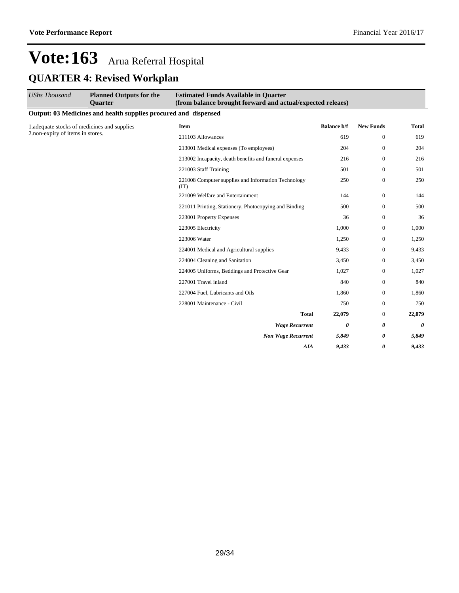| <b>UShs Thousand</b>             | <b>Planned Outputs for the</b><br><b>Ouarter</b>                | <b>Estimated Funds Available in Quarter</b><br>(from balance brought forward and actual/expected releaes) |                       |                  |              |
|----------------------------------|-----------------------------------------------------------------|-----------------------------------------------------------------------------------------------------------|-----------------------|------------------|--------------|
|                                  | Output: 03 Medicines and health supplies procured and dispensed |                                                                                                           |                       |                  |              |
|                                  | 1.adequate stocks of medicines and supplies                     | <b>Item</b>                                                                                               | <b>Balance b/f</b>    | <b>New Funds</b> | <b>Total</b> |
| 2.non-expiry of items in stores. |                                                                 | 211103 Allowances                                                                                         | 619                   | $\mathbf{0}$     | 619          |
|                                  |                                                                 | 213001 Medical expenses (To employees)                                                                    | 204                   | $\mathbf{0}$     | 204          |
|                                  |                                                                 | 213002 Incapacity, death benefits and funeral expenses                                                    | 216                   | $\mathbf{0}$     | 216          |
|                                  |                                                                 | 221003 Staff Training                                                                                     | 501                   | $\mathbf{0}$     | 501          |
|                                  |                                                                 | 221008 Computer supplies and Information Technology<br>(TT)                                               | 250                   | $\mathbf{0}$     | 250          |
|                                  |                                                                 | 221009 Welfare and Entertainment                                                                          | 144                   | $\mathbf{0}$     | 144          |
|                                  |                                                                 | 221011 Printing, Stationery, Photocopying and Binding                                                     | 500                   | $\mathbf{0}$     | 500          |
|                                  |                                                                 | 223001 Property Expenses                                                                                  | 36                    | $\mathbf{0}$     | 36           |
|                                  |                                                                 | 223005 Electricity                                                                                        | 1,000                 | $\mathbf{0}$     | 1,000        |
|                                  |                                                                 | 223006 Water                                                                                              | 1,250                 | $\mathbf{0}$     | 1,250        |
|                                  |                                                                 | 224001 Medical and Agricultural supplies                                                                  | 9,433                 | $\mathbf{0}$     | 9,433        |
|                                  |                                                                 | 224004 Cleaning and Sanitation                                                                            | 3,450                 | $\mathbf{0}$     | 3,450        |
|                                  |                                                                 | 224005 Uniforms, Beddings and Protective Gear                                                             | 1,027                 | $\mathbf{0}$     | 1,027        |
|                                  |                                                                 | 227001 Travel inland                                                                                      | 840                   | $\mathbf{0}$     | 840          |
|                                  |                                                                 | 227004 Fuel, Lubricants and Oils                                                                          | 1,860                 | $\mathbf{0}$     | 1,860        |
|                                  |                                                                 | 228001 Maintenance - Civil                                                                                | 750                   | $\mathbf{0}$     | 750          |
|                                  |                                                                 | <b>Total</b>                                                                                              | 22,079                | $\mathbf{0}$     | 22,079       |
|                                  |                                                                 | <b>Wage Recurrent</b>                                                                                     | $\boldsymbol{\theta}$ | 0                | 0            |
|                                  |                                                                 | <b>Non Wage Recurrent</b>                                                                                 | 5,849                 | 0                | 5,849        |
|                                  |                                                                 | AIA                                                                                                       | 9.433                 | 0                | 9,433        |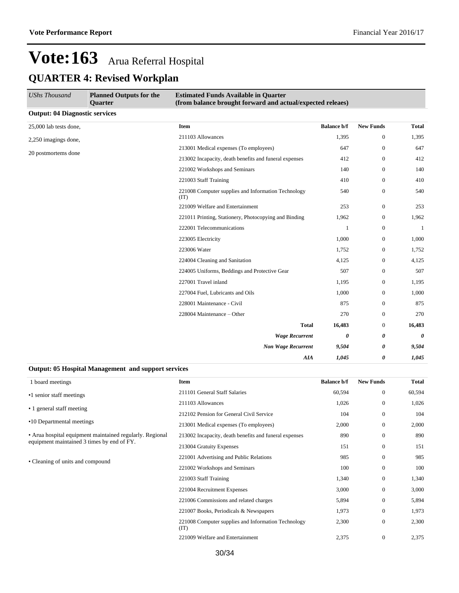| <b>UShs Thousand</b>                  | <b>Planned Outputs for the</b><br><b>Ouarter</b> | <b>Estimated Funds Available in Quarter</b><br>(from balance brought forward and actual/expected releaes) |                    |                  |                       |
|---------------------------------------|--------------------------------------------------|-----------------------------------------------------------------------------------------------------------|--------------------|------------------|-----------------------|
| <b>Output: 04 Diagnostic services</b> |                                                  |                                                                                                           |                    |                  |                       |
| 25,000 lab tests done,                |                                                  | <b>Item</b>                                                                                               | <b>Balance b/f</b> | <b>New Funds</b> | <b>Total</b>          |
| 2,250 imagings done,                  |                                                  | 211103 Allowances                                                                                         | 1,395              | $\mathbf{0}$     | 1,395                 |
| 20 postmortems done                   |                                                  | 213001 Medical expenses (To employees)                                                                    | 647                | $\mathbf{0}$     | 647                   |
|                                       |                                                  | 213002 Incapacity, death benefits and funeral expenses                                                    | 412                | $\overline{0}$   | 412                   |
|                                       |                                                  | 221002 Workshops and Seminars                                                                             | 140                | $\mathbf{0}$     | 140                   |
|                                       |                                                  | 221003 Staff Training                                                                                     | 410                | $\overline{0}$   | 410                   |
|                                       |                                                  | 221008 Computer supplies and Information Technology<br>(TT)                                               | 540                | $\overline{0}$   | 540                   |
|                                       |                                                  | 221009 Welfare and Entertainment                                                                          | 253                | $\boldsymbol{0}$ | 253                   |
|                                       |                                                  | 221011 Printing, Stationery, Photocopying and Binding                                                     | 1,962              | $\mathbf{0}$     | 1,962                 |
|                                       |                                                  | 222001 Telecommunications                                                                                 | 1                  | $\boldsymbol{0}$ | 1                     |
|                                       |                                                  | 223005 Electricity                                                                                        | 1,000              | $\mathbf{0}$     | 1,000                 |
|                                       |                                                  | 223006 Water                                                                                              | 1,752              | $\mathbf{0}$     | 1,752                 |
|                                       |                                                  | 224004 Cleaning and Sanitation                                                                            | 4,125              | $\mathbf{0}$     | 4,125                 |
|                                       |                                                  | 224005 Uniforms, Beddings and Protective Gear                                                             | 507                | $\mathbf{0}$     | 507                   |
|                                       |                                                  | 227001 Travel inland                                                                                      | 1,195              | $\mathbf{0}$     | 1,195                 |
|                                       |                                                  | 227004 Fuel, Lubricants and Oils                                                                          | 1,000              | $\mathbf{0}$     | 1,000                 |
|                                       |                                                  | 228001 Maintenance - Civil                                                                                | 875                | $\mathbf{0}$     | 875                   |
|                                       |                                                  | 228004 Maintenance - Other                                                                                | 270                | $\mathbf{0}$     | 270                   |
|                                       |                                                  | <b>Total</b>                                                                                              | 16,483             | $\boldsymbol{0}$ | 16,483                |
|                                       |                                                  | <b>Wage Recurrent</b>                                                                                     | 0                  | 0                | $\boldsymbol{\theta}$ |
|                                       |                                                  | <b>Non Wage Recurrent</b>                                                                                 | 9,504              | 0                | 9,504                 |
|                                       |                                                  | <b>AIA</b>                                                                                                | 1,045              | 0                | 1,045                 |

| <b>Output: 05 Hospital Management and support services</b>                                             |                                                             |                    |                  |              |
|--------------------------------------------------------------------------------------------------------|-------------------------------------------------------------|--------------------|------------------|--------------|
| 1 board meetings                                                                                       | <b>Item</b>                                                 | <b>Balance b/f</b> | <b>New Funds</b> | <b>Total</b> |
| •1 senior staff meetings                                                                               | 211101 General Staff Salaries                               | 60,594             | $\mathbf{0}$     | 60,594       |
|                                                                                                        | 211103 Allowances                                           | 1,026              | $\mathbf{0}$     | 1,026        |
| • 1 general staff meeting                                                                              | 212102 Pension for General Civil Service                    | 104                | $\theta$         | 104          |
| •10 Departmental meetings                                                                              | 213001 Medical expenses (To employees)                      | 2,000              | $\overline{0}$   | 2,000        |
| • Arua hospital equipment maintained regularly. Regional<br>equipment maintained 3 times by end of FY. | 213002 Incapacity, death benefits and funeral expenses      | 890                | $\mathbf{0}$     | 890          |
|                                                                                                        | 213004 Gratuity Expenses                                    | 151                | $\Omega$         | 151          |
| • Cleaning of units and compound                                                                       | 221001 Advertising and Public Relations                     | 985                | $\mathbf{0}$     | 985          |
|                                                                                                        | 221002 Workshops and Seminars                               | 100                | $\mathbf{0}$     | 100          |
|                                                                                                        | 221003 Staff Training                                       | 1,340              | $\mathbf{0}$     | 1,340        |
|                                                                                                        | 221004 Recruitment Expenses                                 | 3,000              | $\overline{0}$   | 3,000        |
|                                                                                                        | 221006 Commissions and related charges                      | 5,894              | $\mathbf{0}$     | 5,894        |
|                                                                                                        | 221007 Books, Periodicals & Newspapers                      | 1,973              | $\Omega$         | 1,973        |
|                                                                                                        | 221008 Computer supplies and Information Technology<br>(TT) | 2,300              | $\mathbf{0}$     | 2,300        |
|                                                                                                        | 221009 Welfare and Entertainment                            | 2,375              | $\mathbf{0}$     | 2,375        |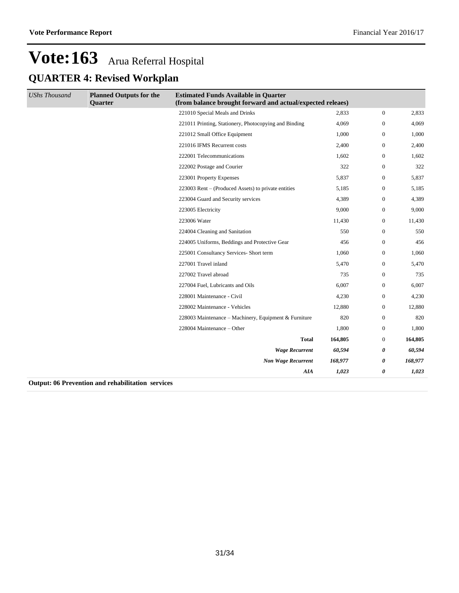| <b>UShs Thousand</b>                                             | <b>Planned Outputs for the</b><br>Quarter                                                                                                                                                                                                                   | <b>Estimated Funds Available in Quarter</b><br>(from balance brought forward and actual/expected releaes) |         |                  |         |
|------------------------------------------------------------------|-------------------------------------------------------------------------------------------------------------------------------------------------------------------------------------------------------------------------------------------------------------|-----------------------------------------------------------------------------------------------------------|---------|------------------|---------|
|                                                                  |                                                                                                                                                                                                                                                             | 221010 Special Meals and Drinks                                                                           | 2,833   | $\mathbf{0}$     | 2,833   |
|                                                                  |                                                                                                                                                                                                                                                             | 221011 Printing, Stationery, Photocopying and Binding                                                     | 4,069   | $\mathbf{0}$     | 4,069   |
|                                                                  |                                                                                                                                                                                                                                                             | 221012 Small Office Equipment                                                                             | 1,000   | $\mathbf{0}$     | 1,000   |
|                                                                  |                                                                                                                                                                                                                                                             | 221016 IFMS Recurrent costs                                                                               | 2,400   | $\overline{0}$   | 2,400   |
|                                                                  |                                                                                                                                                                                                                                                             | 222001 Telecommunications                                                                                 | 1,602   | $\boldsymbol{0}$ | 1,602   |
|                                                                  |                                                                                                                                                                                                                                                             | 222002 Postage and Courier                                                                                | 322     | $\boldsymbol{0}$ | 322     |
|                                                                  |                                                                                                                                                                                                                                                             | 223001 Property Expenses                                                                                  | 5,837   | $\mathbf{0}$     | 5,837   |
|                                                                  |                                                                                                                                                                                                                                                             | 223003 Rent – (Produced Assets) to private entities                                                       | 5,185   | $\mathbf{0}$     | 5,185   |
|                                                                  |                                                                                                                                                                                                                                                             | 223004 Guard and Security services                                                                        | 4,389   | $\overline{0}$   | 4,389   |
|                                                                  |                                                                                                                                                                                                                                                             | 223005 Electricity                                                                                        | 9,000   | $\boldsymbol{0}$ | 9,000   |
|                                                                  |                                                                                                                                                                                                                                                             | 223006 Water                                                                                              | 11,430  | $\boldsymbol{0}$ | 11,430  |
|                                                                  |                                                                                                                                                                                                                                                             | 224004 Cleaning and Sanitation                                                                            | 550     | $\boldsymbol{0}$ | 550     |
|                                                                  |                                                                                                                                                                                                                                                             | 224005 Uniforms, Beddings and Protective Gear                                                             | 456     | $\overline{0}$   | 456     |
|                                                                  |                                                                                                                                                                                                                                                             | 225001 Consultancy Services- Short term                                                                   | 1,060   | $\overline{0}$   | 1,060   |
|                                                                  |                                                                                                                                                                                                                                                             | 227001 Travel inland                                                                                      | 5,470   | $\overline{0}$   | 5,470   |
|                                                                  |                                                                                                                                                                                                                                                             | 227002 Travel abroad                                                                                      | 735     | $\mathbf{0}$     | 735     |
|                                                                  |                                                                                                                                                                                                                                                             | 227004 Fuel, Lubricants and Oils                                                                          | 6,007   | $\boldsymbol{0}$ | 6,007   |
|                                                                  |                                                                                                                                                                                                                                                             | 228001 Maintenance - Civil                                                                                | 4,230   | $\boldsymbol{0}$ | 4,230   |
|                                                                  |                                                                                                                                                                                                                                                             | 228002 Maintenance - Vehicles                                                                             | 12,880  | $\overline{0}$   | 12,880  |
|                                                                  |                                                                                                                                                                                                                                                             | 228003 Maintenance – Machinery, Equipment & Furniture                                                     | 820     | $\mathbf{0}$     | 820     |
|                                                                  |                                                                                                                                                                                                                                                             | 228004 Maintenance - Other                                                                                | 1,800   | $\overline{0}$   | 1,800   |
|                                                                  |                                                                                                                                                                                                                                                             | <b>Total</b>                                                                                              | 164,805 | $\boldsymbol{0}$ | 164,805 |
|                                                                  |                                                                                                                                                                                                                                                             | <b>Wage Recurrent</b>                                                                                     | 60,594  | 0                | 60,594  |
|                                                                  |                                                                                                                                                                                                                                                             | <b>Non Wage Recurrent</b>                                                                                 | 168,977 | 0                | 168,977 |
|                                                                  |                                                                                                                                                                                                                                                             | AIA                                                                                                       | 1,023   | 0                | 1,023   |
| $\mathbf{A}$ $\mathbf{A}$ $\mathbf{A}$ $\mathbf{A}$ $\mathbf{B}$ | $-1.5$ , $-1.5$ , $-1.5$ , $-1.5$ , $-1.5$ , $-1.5$ , $-1.5$ , $-1.5$ , $-1.5$ , $-1.5$ , $-1.5$ , $-1.5$ , $-1.5$ , $-1.5$ , $-1.5$ , $-1.5$ , $-1.5$ , $-1.5$ , $-1.5$ , $-1.5$ , $-1.5$ , $-1.5$ , $-1.5$ , $-1.5$ , $-1.5$<br>$\mathbf{A}$ $\mathbf{A}$ |                                                                                                           |         |                  |         |

**Output: 06 Prevention and rehabilitation services**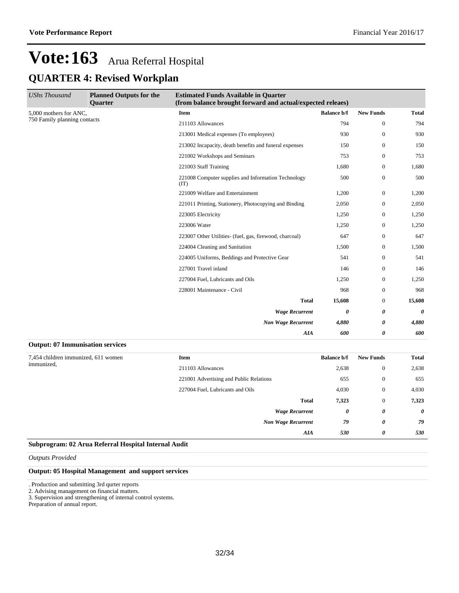| <b>UShs Thousand</b>                    | <b>Planned Outputs for the</b><br><b>Ouarter</b>            | <b>Estimated Funds Available in Quarter</b><br>(from balance brought forward and actual/expected releaes) |                    |                  |              |
|-----------------------------------------|-------------------------------------------------------------|-----------------------------------------------------------------------------------------------------------|--------------------|------------------|--------------|
| 5,000 mothers for ANC,                  |                                                             | Item                                                                                                      | <b>Balance b/f</b> | <b>New Funds</b> | <b>Total</b> |
| 750 Family planning contacts            |                                                             | 211103 Allowances                                                                                         | 794                | $\overline{0}$   | 794          |
|                                         |                                                             | 213001 Medical expenses (To employees)                                                                    | 930                | $\overline{0}$   | 930          |
|                                         |                                                             | 213002 Incapacity, death benefits and funeral expenses                                                    | 150                | $\overline{0}$   | 150          |
|                                         |                                                             | 221002 Workshops and Seminars                                                                             | 753                | $\overline{0}$   | 753          |
|                                         |                                                             | 221003 Staff Training                                                                                     | 1,680              | $\mathbf{0}$     | 1,680        |
|                                         | 221008 Computer supplies and Information Technology<br>(TT) | 500                                                                                                       | $\mathbf{0}$       | 500              |              |
|                                         |                                                             | 221009 Welfare and Entertainment                                                                          | 1,200              | $\overline{0}$   | 1,200        |
|                                         | 221011 Printing, Stationery, Photocopying and Binding       | 2,050                                                                                                     | $\overline{0}$     | 2,050            |              |
|                                         | 223005 Electricity                                          | 1,250                                                                                                     | $\overline{0}$     | 1,250            |              |
|                                         |                                                             | 223006 Water                                                                                              | 1,250              | $\mathbf{0}$     | 1,250        |
|                                         |                                                             | 223007 Other Utilities- (fuel, gas, firewood, charcoal)                                                   | 647                | $\mathbf{0}$     | 647          |
|                                         |                                                             | 224004 Cleaning and Sanitation                                                                            | 1,500              | $\overline{0}$   | 1,500        |
|                                         |                                                             | 224005 Uniforms, Beddings and Protective Gear                                                             | 541                | $\overline{0}$   | 541          |
|                                         |                                                             | 227001 Travel inland                                                                                      | 146                | $\overline{0}$   | 146          |
|                                         |                                                             | 227004 Fuel, Lubricants and Oils                                                                          | 1,250              | $\overline{0}$   | 1,250        |
|                                         |                                                             | 228001 Maintenance - Civil                                                                                | 968                | $\overline{0}$   | 968          |
|                                         |                                                             | <b>Total</b>                                                                                              | 15,608             | $\overline{0}$   | 15,608       |
|                                         |                                                             | <b>Wage Recurrent</b>                                                                                     | 0                  | 0                | 0            |
|                                         |                                                             | <b>Non Wage Recurrent</b>                                                                                 | 4,880              | 0                | 4,880        |
|                                         |                                                             | AIA                                                                                                       | 600                | 0                | 600          |
| <b>Output: 07 Immunisation services</b> |                                                             |                                                                                                           |                    |                  |              |

| 7,454 children immunized, 611 women | <b>Item</b>                             | <b>Balance b/f</b> | <b>New Funds</b> | <b>Total</b> |
|-------------------------------------|-----------------------------------------|--------------------|------------------|--------------|
| immunized,                          | 211103 Allowances                       | 2,638              | $\mathbf{0}$     | 2,638        |
|                                     | 221001 Advertising and Public Relations | 655                | $\mathbf{0}$     | 655          |
|                                     | 227004 Fuel, Lubricants and Oils        | 4,030              | $\mathbf{0}$     | 4,030        |
|                                     | <b>Total</b>                            | 7,323              | $\mathbf{0}$     | 7,323        |
|                                     | <b>Wage Recurrent</b>                   | 0                  | 0                | $\theta$     |
|                                     | <b>Non Wage Recurrent</b>               | 79                 | 0                | 79           |
|                                     | AIA                                     | 530                | 0                | 530          |

#### **Subprogram: 02 Arua Referral Hospital Internal Audit**

*Outputs Provided*

#### **Output: 05 Hospital Management and support services**

. Production and submitting 3rd qurter reports

2. Advising management on financial matters.

3. Supervision and strengthening of internal control systems.

Preparation of annual report.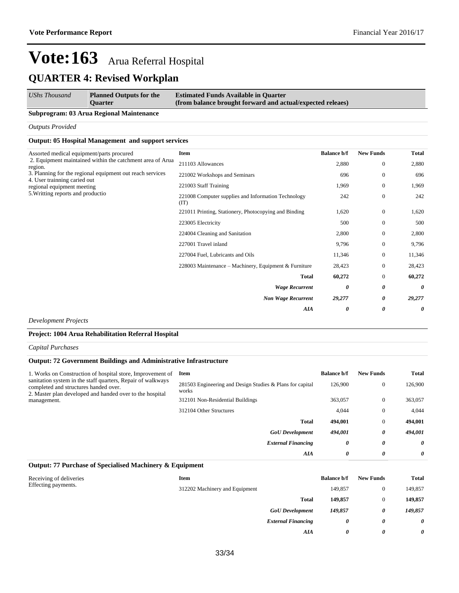#### *UShs Thousand* **Planned Outputs for the Estimated Funds Available in Quarter**

**(from balance brought forward and actual/expected releaes)**

#### **Subprogram: 03 Arua Regional Maintenance**

**Quarter**

*Outputs Provided*

#### **Output: 05 Hospital Management and support services**

| Assorted medical equipment/parts procured<br>2. Equipment maintained within the catchment area of Arua<br>region.<br>3. Planning for the regional equipment out reach services<br>4. User trainning caried out<br>regional equipment meeting<br>5. Writting reports and productio | Item                                                        | <b>Balance b/f</b> | <b>New Funds</b> | <b>Total</b> |
|-----------------------------------------------------------------------------------------------------------------------------------------------------------------------------------------------------------------------------------------------------------------------------------|-------------------------------------------------------------|--------------------|------------------|--------------|
|                                                                                                                                                                                                                                                                                   | 211103 Allowances                                           | 2,880              | $\overline{0}$   | 2,880        |
|                                                                                                                                                                                                                                                                                   | 221002 Workshops and Seminars                               | 696                | $\overline{0}$   | 696          |
|                                                                                                                                                                                                                                                                                   | 221003 Staff Training                                       | 1,969              | $\overline{0}$   | 1,969        |
|                                                                                                                                                                                                                                                                                   | 221008 Computer supplies and Information Technology<br>(TT) | 242                | $\mathbf{0}$     | 242          |
|                                                                                                                                                                                                                                                                                   | 221011 Printing, Stationery, Photocopying and Binding       | 1,620              | $\mathbf{0}$     | 1,620        |
|                                                                                                                                                                                                                                                                                   | 223005 Electricity                                          | 500                | $\mathbf{0}$     | 500          |
|                                                                                                                                                                                                                                                                                   | 224004 Cleaning and Sanitation                              | 2,800              | $\mathbf{0}$     | 2,800        |
|                                                                                                                                                                                                                                                                                   | 227001 Travel inland                                        | 9,796              | $\mathbf{0}$     | 9,796        |
|                                                                                                                                                                                                                                                                                   | 227004 Fuel, Lubricants and Oils                            | 11,346             | $\mathbf{0}$     | 11,346       |
|                                                                                                                                                                                                                                                                                   | 228003 Maintenance – Machinery, Equipment & Furniture       | 28,423             | $\mathbf{0}$     | 28,423       |
|                                                                                                                                                                                                                                                                                   | Total                                                       | 60,272             | $\mathbf{0}$     | 60,272       |
|                                                                                                                                                                                                                                                                                   | <b>Wage Recurrent</b>                                       | 0                  | 0                | 0            |
|                                                                                                                                                                                                                                                                                   | <b>Non Wage Recurrent</b>                                   | 29,277             | 0                | 29,277       |
|                                                                                                                                                                                                                                                                                   | <b>AIA</b>                                                  | 0                  | 0                | 0            |

*Development Projects*

#### **Project: 1004 Arua Rehabilitation Referral Hospital**

*Capital Purchases*

#### **Output: 72 Government Buildings and Administrative Infrastructure**

| 1. Works on Construction of hospital store, Improvement of<br>sanitation system in the staff quarters, Repair of walkways<br>completed and structures handed over.<br>2. Master plan developed and handed over to the hospital<br>management. | Item                                                               | <b>Balance b/f</b> | <b>New Funds</b> | <b>Total</b> |
|-----------------------------------------------------------------------------------------------------------------------------------------------------------------------------------------------------------------------------------------------|--------------------------------------------------------------------|--------------------|------------------|--------------|
|                                                                                                                                                                                                                                               | 281503 Engineering and Design Studies & Plans for capital<br>works | 126,900            | $\mathbf{0}$     | 126,900      |
|                                                                                                                                                                                                                                               | 312101 Non-Residential Buildings                                   | 363,057            | $\Omega$         | 363,057      |
|                                                                                                                                                                                                                                               | 312104 Other Structures                                            | 4,044              | $\Omega$         | 4.044        |
|                                                                                                                                                                                                                                               | <b>Total</b>                                                       | 494.001            | $\Omega$         | 494.001      |
|                                                                                                                                                                                                                                               | <b>GoU</b> Development                                             | 494,001            | 0                | 494.001      |
|                                                                                                                                                                                                                                               | <b>External Financing</b>                                          | 0                  | 0                | 0            |
|                                                                                                                                                                                                                                               | AIA                                                                | 0                  | 0                | 0            |

### **Output: 77 Purchase of Specialised Machinery & Equipment**

| Receiving of deliveries<br>Effecting payments. | Item                           |                           | <b>Balance b/f</b> | <b>New Funds</b> | <b>Total</b>          |
|------------------------------------------------|--------------------------------|---------------------------|--------------------|------------------|-----------------------|
|                                                | 312202 Machinery and Equipment |                           | 149,857            |                  | 149,857               |
|                                                |                                | <b>Total</b>              | 149,857            |                  | 149,857               |
|                                                |                                | <b>GoU</b> Development    | 149,857            | 0                | 149,857               |
|                                                |                                | <b>External Financing</b> | 0                  | 0                | $\boldsymbol{\theta}$ |
|                                                |                                | AIA                       | 0                  | 0                | $\boldsymbol{\theta}$ |